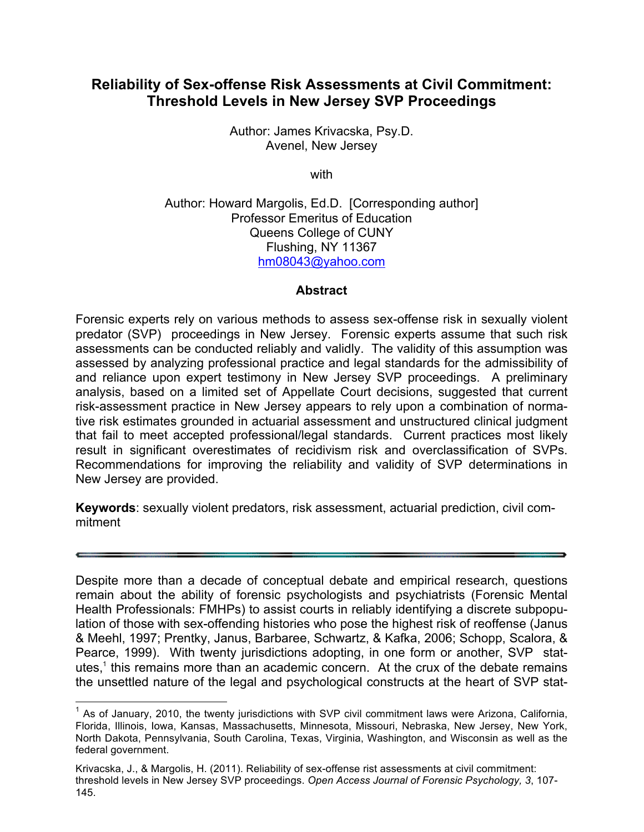# **Reliability of Sex-offense Risk Assessments at Civil Commitment: Threshold Levels in New Jersey SVP Proceedings**

Author: James Krivacska, Psy.D. Avenel, New Jersey

with

Author: Howard Margolis, Ed.D. [Corresponding author] Professor Emeritus of Education Queens College of CUNY Flushing, NY 11367 hm08043@yahoo.com

# **Abstract**

Forensic experts rely on various methods to assess sex-offense risk in sexually violent predator (SVP) proceedings in New Jersey. Forensic experts assume that such risk assessments can be conducted reliably and validly. The validity of this assumption was assessed by analyzing professional practice and legal standards for the admissibility of and reliance upon expert testimony in New Jersey SVP proceedings. A preliminary analysis, based on a limited set of Appellate Court decisions, suggested that current risk-assessment practice in New Jersey appears to rely upon a combination of normative risk estimates grounded in actuarial assessment and unstructured clinical judgment that fail to meet accepted professional/legal standards. Current practices most likely result in significant overestimates of recidivism risk and overclassification of SVPs. Recommendations for improving the reliability and validity of SVP determinations in New Jersey are provided.

**Keywords**: sexually violent predators, risk assessment, actuarial prediction, civil commitment

Despite more than a decade of conceptual debate and empirical research, questions remain about the ability of forensic psychologists and psychiatrists (Forensic Mental Health Professionals: FMHPs) to assist courts in reliably identifying a discrete subpopulation of those with sex-offending histories who pose the highest risk of reoffense (Janus & Meehl, 1997; Prentky, Janus, Barbaree, Schwartz, & Kafka, 2006; Schopp, Scalora, & Pearce, 1999). With twenty jurisdictions adopting, in one form or another, SVP statutes, $<sup>1</sup>$  this remains more than an academic concern. At the crux of the debate remains</sup> the unsettled nature of the legal and psychological constructs at the heart of SVP stat-

 $1$  As of January, 2010, the twenty jurisdictions with SVP civil commitment laws were Arizona, California, Florida, Illinois, Iowa, Kansas, Massachusetts, Minnesota, Missouri, Nebraska, New Jersey, New York, North Dakota, Pennsylvania, South Carolina, Texas, Virginia, Washington, and Wisconsin as well as the federal government.

Krivacska, J., & Margolis, H. (2011). Reliability of sex-offense rist assessments at civil commitment: threshold levels in New Jersey SVP proceedings. *Open Access Journal of Forensic Psychology, 3*, 107- 145.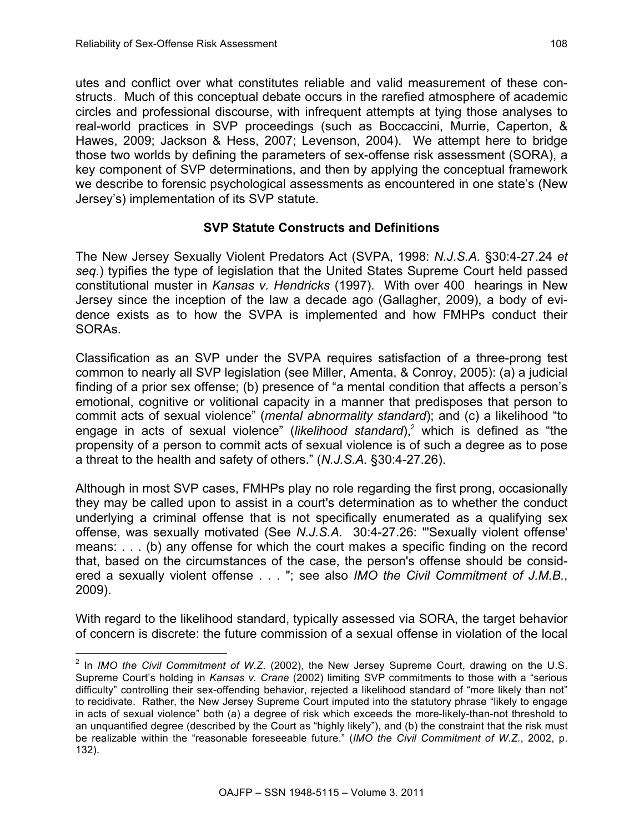utes and conflict over what constitutes reliable and valid measurement of these constructs. Much of this conceptual debate occurs in the rarefied atmosphere of academic circles and professional discourse, with infrequent attempts at tying those analyses to real-world practices in SVP proceedings (such as Boccaccini, Murrie, Caperton, & Hawes, 2009; Jackson & Hess, 2007; Levenson, 2004). We attempt here to bridge those two worlds by defining the parameters of sex-offense risk assessment (SORA), a key component of SVP determinations, and then by applying the conceptual framework we describe to forensic psychological assessments as encountered in one state's (New Jersey's) implementation of its SVP statute.

# **SVP Statute Constructs and Definitions**

The New Jersey Sexually Violent Predators Act (SVPA, 1998: *N.J.S.A.* §30:4-27.24 *et seq.*) typifies the type of legislation that the United States Supreme Court held passed constitutional muster in *Kansas v. Hendricks* (1997). With over 400 hearings in New Jersey since the inception of the law a decade ago (Gallagher, 2009), a body of evidence exists as to how the SVPA is implemented and how FMHPs conduct their SORAs.

Classification as an SVP under the SVPA requires satisfaction of a three-prong test common to nearly all SVP legislation (see Miller, Amenta, & Conroy, 2005): (a) a judicial finding of a prior sex offense; (b) presence of "a mental condition that affects a person's emotional, cognitive or volitional capacity in a manner that predisposes that person to commit acts of sexual violence" (*mental abnormality standard*); and (c) a likelihood "to engage in acts of sexual violence" (*likelihood standard*),<sup>2</sup> which is defined as "the propensity of a person to commit acts of sexual violence is of such a degree as to pose a threat to the health and safety of others." (*N.J.S.A.* §30:4-27.26).

Although in most SVP cases, FMHPs play no role regarding the first prong, occasionally they may be called upon to assist in a court's determination as to whether the conduct underlying a criminal offense that is not specifically enumerated as a qualifying sex offense, was sexually motivated (See *N.J.S.A*. 30:4-27.26: "'Sexually violent offense' means: . . . (b) any offense for which the court makes a specific finding on the record that, based on the circumstances of the case, the person's offense should be considered a sexually violent offense . . . "; see also *IMO the Civil Commitment of J.M.B.*, 2009).

With regard to the likelihood standard, typically assessed via SORA, the target behavior of concern is discrete: the future commission of a sexual offense in violation of the local

 <sup>2</sup> In *IMO the Civil Commitment of W.Z.* (2002), the New Jersey Supreme Court, drawing on the U.S. Supreme Court's holding in *Kansas v. Crane* (2002) limiting SVP commitments to those with a "serious difficulty" controlling their sex-offending behavior, rejected a likelihood standard of "more likely than not" to recidivate. Rather, the New Jersey Supreme Court imputed into the statutory phrase "likely to engage in acts of sexual violence" both (a) a degree of risk which exceeds the more-likely-than-not threshold to an unquantified degree (described by the Court as "highly likely"), and (b) the constraint that the risk must be realizable within the "reasonable foreseeable future." (*IMO the Civil Commitment of W.Z.*, 2002, p. 132).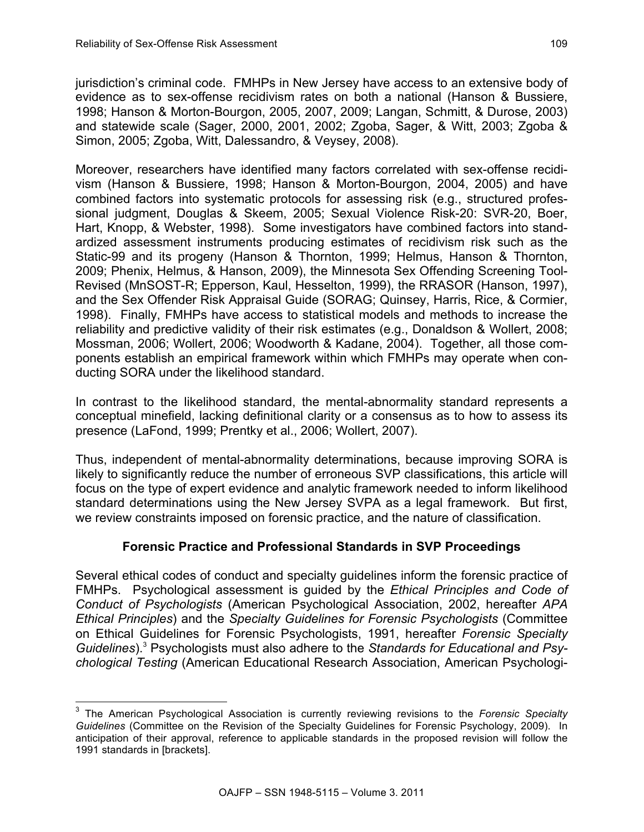jurisdiction's criminal code. FMHPs in New Jersey have access to an extensive body of evidence as to sex-offense recidivism rates on both a national (Hanson & Bussiere, 1998; Hanson & Morton-Bourgon, 2005, 2007, 2009; Langan, Schmitt, & Durose, 2003) and statewide scale (Sager, 2000, 2001, 2002; Zgoba, Sager, & Witt, 2003; Zgoba & Simon, 2005; Zgoba, Witt, Dalessandro, & Veysey, 2008).

Moreover, researchers have identified many factors correlated with sex-offense recidivism (Hanson & Bussiere, 1998; Hanson & Morton-Bourgon, 2004, 2005) and have combined factors into systematic protocols for assessing risk (e.g., structured professional judgment, Douglas & Skeem, 2005; Sexual Violence Risk-20: SVR-20, Boer, Hart, Knopp, & Webster, 1998). Some investigators have combined factors into standardized assessment instruments producing estimates of recidivism risk such as the Static-99 and its progeny (Hanson & Thornton, 1999; Helmus, Hanson & Thornton, 2009; Phenix, Helmus, & Hanson, 2009), the Minnesota Sex Offending Screening Tool-Revised (MnSOST-R; Epperson, Kaul, Hesselton, 1999), the RRASOR (Hanson, 1997), and the Sex Offender Risk Appraisal Guide (SORAG; Quinsey, Harris, Rice, & Cormier, 1998). Finally, FMHPs have access to statistical models and methods to increase the reliability and predictive validity of their risk estimates (e.g., Donaldson & Wollert, 2008; Mossman, 2006; Wollert, 2006; Woodworth & Kadane, 2004). Together, all those components establish an empirical framework within which FMHPs may operate when conducting SORA under the likelihood standard.

In contrast to the likelihood standard, the mental-abnormality standard represents a conceptual minefield, lacking definitional clarity or a consensus as to how to assess its presence (LaFond, 1999; Prentky et al., 2006; Wollert, 2007).

Thus, independent of mental-abnormality determinations, because improving SORA is likely to significantly reduce the number of erroneous SVP classifications, this article will focus on the type of expert evidence and analytic framework needed to inform likelihood standard determinations using the New Jersey SVPA as a legal framework. But first, we review constraints imposed on forensic practice, and the nature of classification.

# **Forensic Practice and Professional Standards in SVP Proceedings**

Several ethical codes of conduct and specialty guidelines inform the forensic practice of FMHPs. Psychological assessment is guided by the *Ethical Principles and Code of Conduct of Psychologists* (American Psychological Association, 2002, hereafter *APA Ethical Principles*) and the *Specialty Guidelines for Forensic Psychologists* (Committee on Ethical Guidelines for Forensic Psychologists, 1991, hereafter *Forensic Specialty Guidelines*).3 Psychologists must also adhere to the *Standards for Educational and Psychological Testing* (American Educational Research Association, American Psychologi-

 <sup>3</sup> The American Psychological Association is currently reviewing revisions to the *Forensic Specialty Guidelines* (Committee on the Revision of the Specialty Guidelines for Forensic Psychology, 2009). In anticipation of their approval, reference to applicable standards in the proposed revision will follow the 1991 standards in [brackets].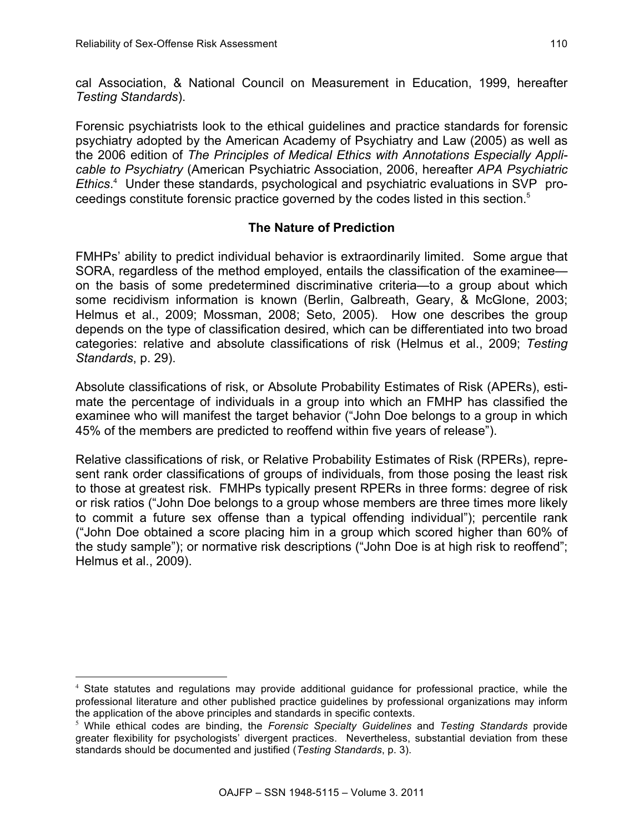l

cal Association, & National Council on Measurement in Education, 1999, hereafter *Testing Standards*).

Forensic psychiatrists look to the ethical guidelines and practice standards for forensic psychiatry adopted by the American Academy of Psychiatry and Law (2005) as well as the 2006 edition of *The Principles of Medical Ethics with Annotations Especially Applicable to Psychiatry* (American Psychiatric Association, 2006, hereafter *APA Psychiatric Ethics*. 4 Under these standards, psychological and psychiatric evaluations in SVP proceedings constitute forensic practice governed by the codes listed in this section.<sup>5</sup>

# **The Nature of Prediction**

FMHPs' ability to predict individual behavior is extraordinarily limited. Some argue that SORA, regardless of the method employed, entails the classification of the examinee on the basis of some predetermined discriminative criteria—to a group about which some recidivism information is known (Berlin, Galbreath, Geary, & McGlone, 2003; Helmus et al., 2009; Mossman, 2008; Seto, 2005). How one describes the group depends on the type of classification desired, which can be differentiated into two broad categories: relative and absolute classifications of risk (Helmus et al., 2009; *Testing Standards*, p. 29).

Absolute classifications of risk, or Absolute Probability Estimates of Risk (APERs), estimate the percentage of individuals in a group into which an FMHP has classified the examinee who will manifest the target behavior ("John Doe belongs to a group in which 45% of the members are predicted to reoffend within five years of release").

Relative classifications of risk, or Relative Probability Estimates of Risk (RPERs), represent rank order classifications of groups of individuals, from those posing the least risk to those at greatest risk. FMHPs typically present RPERs in three forms: degree of risk or risk ratios ("John Doe belongs to a group whose members are three times more likely to commit a future sex offense than a typical offending individual"); percentile rank ("John Doe obtained a score placing him in a group which scored higher than 60% of the study sample"); or normative risk descriptions ("John Doe is at high risk to reoffend"; Helmus et al., 2009).

<sup>&</sup>lt;sup>4</sup> State statutes and regulations may provide additional guidance for professional practice, while the professional literature and other published practice guidelines by professional organizations may inform the application of the above principles and standards in specific contexts.

<sup>5</sup> While ethical codes are binding, the *Forensic Specialty Guidelines* and *Testing Standards* provide greater flexibility for psychologists' divergent practices. Nevertheless, substantial deviation from these standards should be documented and justified (*Testing Standards*, p. 3).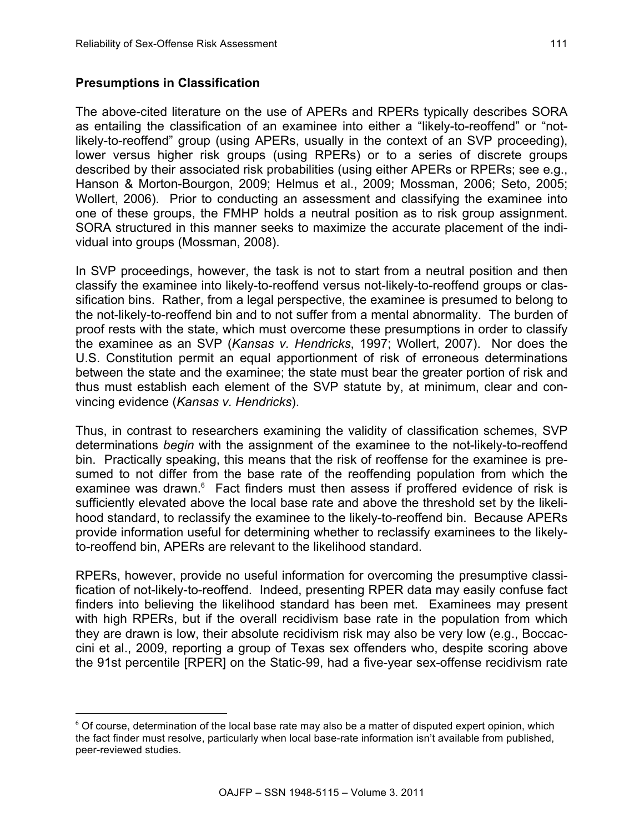# **Presumptions in Classification**

l

The above-cited literature on the use of APERs and RPERs typically describes SORA as entailing the classification of an examinee into either a "likely-to-reoffend" or "notlikely-to-reoffend" group (using APERs, usually in the context of an SVP proceeding), lower versus higher risk groups (using RPERs) or to a series of discrete groups described by their associated risk probabilities (using either APERs or RPERs; see e.g., Hanson & Morton-Bourgon, 2009; Helmus et al., 2009; Mossman, 2006; Seto, 2005; Wollert, 2006). Prior to conducting an assessment and classifying the examinee into one of these groups, the FMHP holds a neutral position as to risk group assignment. SORA structured in this manner seeks to maximize the accurate placement of the individual into groups (Mossman, 2008).

In SVP proceedings, however, the task is not to start from a neutral position and then classify the examinee into likely-to-reoffend versus not-likely-to-reoffend groups or classification bins. Rather, from a legal perspective, the examinee is presumed to belong to the not-likely-to-reoffend bin and to not suffer from a mental abnormality. The burden of proof rests with the state, which must overcome these presumptions in order to classify the examinee as an SVP (*Kansas v. Hendricks*, 1997; Wollert, 2007). Nor does the U.S. Constitution permit an equal apportionment of risk of erroneous determinations between the state and the examinee; the state must bear the greater portion of risk and thus must establish each element of the SVP statute by, at minimum, clear and convincing evidence (*Kansas v. Hendricks*).

Thus, in contrast to researchers examining the validity of classification schemes, SVP determinations *begin* with the assignment of the examinee to the not-likely-to-reoffend bin. Practically speaking, this means that the risk of reoffense for the examinee is presumed to not differ from the base rate of the reoffending population from which the examinee was drawn.<sup>6</sup> Fact finders must then assess if proffered evidence of risk is sufficiently elevated above the local base rate and above the threshold set by the likelihood standard, to reclassify the examinee to the likely-to-reoffend bin. Because APERs provide information useful for determining whether to reclassify examinees to the likelyto-reoffend bin, APERs are relevant to the likelihood standard.

RPERs, however, provide no useful information for overcoming the presumptive classification of not-likely-to-reoffend. Indeed, presenting RPER data may easily confuse fact finders into believing the likelihood standard has been met. Examinees may present with high RPERs, but if the overall recidivism base rate in the population from which they are drawn is low, their absolute recidivism risk may also be very low (e.g., Boccaccini et al., 2009, reporting a group of Texas sex offenders who, despite scoring above the 91st percentile [RPER] on the Static-99, had a five-year sex-offense recidivism rate

<sup>6</sup> Of course, determination of the local base rate may also be a matter of disputed expert opinion, which the fact finder must resolve, particularly when local base-rate information isn't available from published, peer-reviewed studies.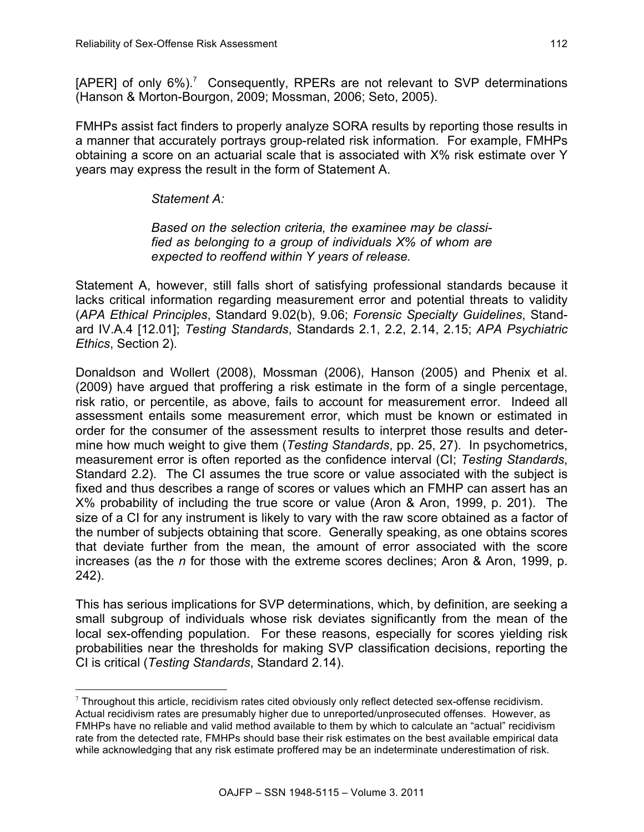[APER] of only  $6\%$ ).<sup>7</sup> Consequently, RPERs are not relevant to SVP determinations (Hanson & Morton-Bourgon, 2009; Mossman, 2006; Seto, 2005).

FMHPs assist fact finders to properly analyze SORA results by reporting those results in a manner that accurately portrays group-related risk information. For example, FMHPs obtaining a score on an actuarial scale that is associated with X% risk estimate over Y years may express the result in the form of Statement A.

*Statement A:*

l

*Based on the selection criteria, the examinee may be classified as belonging to a group of individuals X% of whom are expected to reoffend within Y years of release.*

Statement A, however, still falls short of satisfying professional standards because it lacks critical information regarding measurement error and potential threats to validity (*APA Ethical Principles*, Standard 9.02(b), 9.06; *Forensic Specialty Guidelines*, Standard IV.A.4 [12.01]; *Testing Standards*, Standards 2.1, 2.2, 2.14, 2.15; *APA Psychiatric Ethics*, Section 2).

Donaldson and Wollert (2008), Mossman (2006), Hanson (2005) and Phenix et al. (2009) have argued that proffering a risk estimate in the form of a single percentage, risk ratio, or percentile, as above, fails to account for measurement error. Indeed all assessment entails some measurement error, which must be known or estimated in order for the consumer of the assessment results to interpret those results and determine how much weight to give them (*Testing Standards*, pp. 25, 27). In psychometrics, measurement error is often reported as the confidence interval (CI; *Testing Standards*, Standard 2.2). The CI assumes the true score or value associated with the subject is fixed and thus describes a range of scores or values which an FMHP can assert has an X% probability of including the true score or value (Aron & Aron, 1999, p. 201). The size of a CI for any instrument is likely to vary with the raw score obtained as a factor of the number of subjects obtaining that score. Generally speaking, as one obtains scores that deviate further from the mean, the amount of error associated with the score increases (as the *n* for those with the extreme scores declines; Aron & Aron, 1999, p. 242).

This has serious implications for SVP determinations, which, by definition, are seeking a small subgroup of individuals whose risk deviates significantly from the mean of the local sex-offending population. For these reasons, especially for scores yielding risk probabilities near the thresholds for making SVP classification decisions, reporting the CI is critical (*Testing Standards*, Standard 2.14).

 $7$  Throughout this article, recidivism rates cited obviously only reflect detected sex-offense recidivism. Actual recidivism rates are presumably higher due to unreported/unprosecuted offenses. However, as FMHPs have no reliable and valid method available to them by which to calculate an "actual" recidivism rate from the detected rate, FMHPs should base their risk estimates on the best available empirical data while acknowledging that any risk estimate proffered may be an indeterminate underestimation of risk.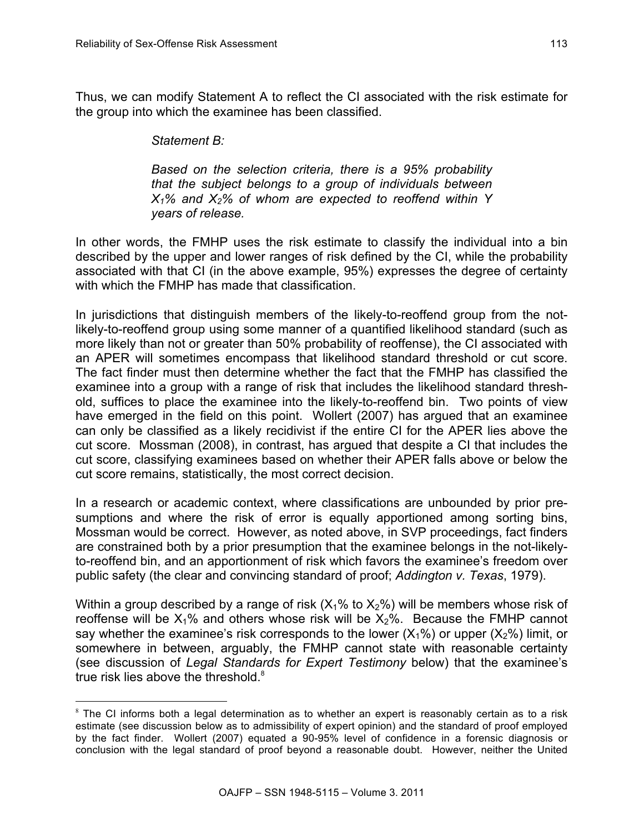Thus, we can modify Statement A to reflect the CI associated with the risk estimate for the group into which the examinee has been classified.

### *Statement B:*

l

*Based on the selection criteria, there is a 95% probability that the subject belongs to a group of individuals between X1% and X2% of whom are expected to reoffend within Y years of release.*

In other words, the FMHP uses the risk estimate to classify the individual into a bin described by the upper and lower ranges of risk defined by the CI, while the probability associated with that CI (in the above example, 95%) expresses the degree of certainty with which the FMHP has made that classification.

In jurisdictions that distinguish members of the likely-to-reoffend group from the notlikely-to-reoffend group using some manner of a quantified likelihood standard (such as more likely than not or greater than 50% probability of reoffense), the CI associated with an APER will sometimes encompass that likelihood standard threshold or cut score. The fact finder must then determine whether the fact that the FMHP has classified the examinee into a group with a range of risk that includes the likelihood standard threshold, suffices to place the examinee into the likely-to-reoffend bin. Two points of view have emerged in the field on this point. Wollert (2007) has argued that an examinee can only be classified as a likely recidivist if the entire CI for the APER lies above the cut score. Mossman (2008), in contrast, has argued that despite a CI that includes the cut score, classifying examinees based on whether their APER falls above or below the cut score remains, statistically, the most correct decision.

In a research or academic context, where classifications are unbounded by prior presumptions and where the risk of error is equally apportioned among sorting bins, Mossman would be correct. However, as noted above, in SVP proceedings, fact finders are constrained both by a prior presumption that the examinee belongs in the not-likelyto-reoffend bin, and an apportionment of risk which favors the examinee's freedom over public safety (the clear and convincing standard of proof; *Addington v. Texas*, 1979).

Within a group described by a range of risk  $(X_1\%$  to  $X_2\%)$  will be members whose risk of reoffense will be  $X_1\%$  and others whose risk will be  $X_2\%$ . Because the FMHP cannot say whether the examinee's risk corresponds to the lower  $(X_1\%)$  or upper  $(X_2\%)$  limit, or somewhere in between, arguably, the FMHP cannot state with reasonable certainty (see discussion of *Legal Standards for Expert Testimony* below) that the examinee's true risk lies above the threshold. $8$ 

 $8$  The CI informs both a legal determination as to whether an expert is reasonably certain as to a risk estimate (see discussion below as to admissibility of expert opinion) and the standard of proof employed by the fact finder. Wollert (2007) equated a 90-95% level of confidence in a forensic diagnosis or conclusion with the legal standard of proof beyond a reasonable doubt. However, neither the United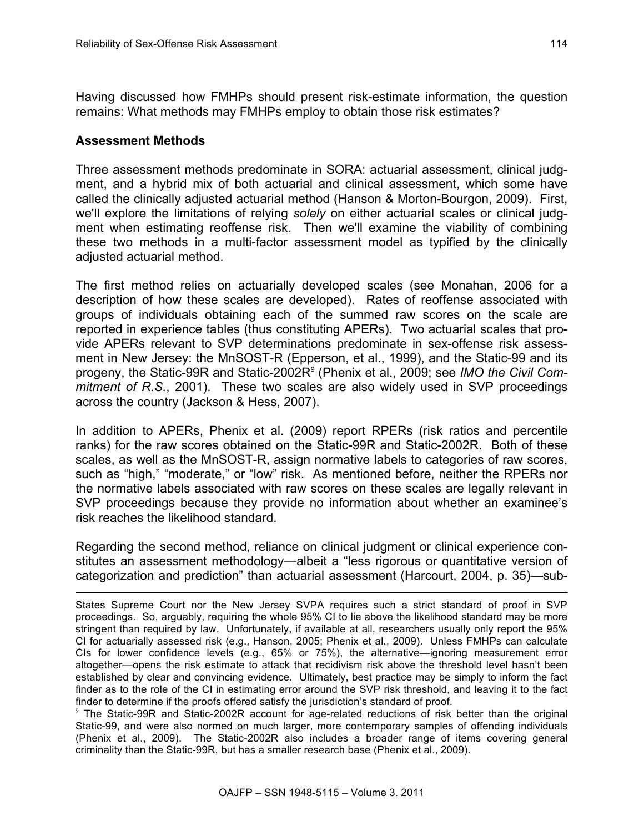Having discussed how FMHPs should present risk-estimate information, the question remains: What methods may FMHPs employ to obtain those risk estimates?

#### **Assessment Methods**

Three assessment methods predominate in SORA: actuarial assessment, clinical judgment, and a hybrid mix of both actuarial and clinical assessment, which some have called the clinically adjusted actuarial method (Hanson & Morton-Bourgon, 2009). First, we'll explore the limitations of relying *solely* on either actuarial scales or clinical judgment when estimating reoffense risk. Then we'll examine the viability of combining these two methods in a multi-factor assessment model as typified by the clinically adjusted actuarial method.

The first method relies on actuarially developed scales (see Monahan, 2006 for a description of how these scales are developed). Rates of reoffense associated with groups of individuals obtaining each of the summed raw scores on the scale are reported in experience tables (thus constituting APERs). Two actuarial scales that provide APERs relevant to SVP determinations predominate in sex-offense risk assessment in New Jersey: the MnSOST-R (Epperson, et al., 1999), and the Static-99 and its progeny, the Static-99R and Static-2002R9 (Phenix et al., 2009; see *IMO the Civil Commitment of R.S.*, 2001). These two scales are also widely used in SVP proceedings across the country (Jackson & Hess, 2007).

In addition to APERs, Phenix et al. (2009) report RPERs (risk ratios and percentile ranks) for the raw scores obtained on the Static-99R and Static-2002R. Both of these scales, as well as the MnSOST-R, assign normative labels to categories of raw scores, such as "high," "moderate," or "low" risk. As mentioned before, neither the RPERs nor the normative labels associated with raw scores on these scales are legally relevant in SVP proceedings because they provide no information about whether an examinee's risk reaches the likelihood standard.

Regarding the second method, reliance on clinical judgment or clinical experience constitutes an assessment methodology—albeit a "less rigorous or quantitative version of categorization and prediction" than actuarial assessment (Harcourt, 2004, p. 35)—sub-

<sup>9</sup> The Static-99R and Static-2002R account for age-related reductions of risk better than the original Static-99, and were also normed on much larger, more contemporary samples of offending individuals (Phenix et al., 2009). The Static-2002R also includes a broader range of items covering general criminality than the Static-99R, but has a smaller research base (Phenix et al., 2009).

<sup>1</sup> States Supreme Court nor the New Jersey SVPA requires such a strict standard of proof in SVP proceedings. So, arguably, requiring the whole 95% CI to lie above the likelihood standard may be more stringent than required by law. Unfortunately, if available at all, researchers usually only report the 95% CI for actuarially assessed risk (e.g., Hanson, 2005; Phenix et al., 2009). Unless FMHPs can calculate CIs for lower confidence levels (e.g., 65% or 75%), the alternative—ignoring measurement error altogether—opens the risk estimate to attack that recidivism risk above the threshold level hasn't been established by clear and convincing evidence. Ultimately, best practice may be simply to inform the fact finder as to the role of the CI in estimating error around the SVP risk threshold, and leaving it to the fact finder to determine if the proofs offered satisfy the jurisdiction's standard of proof.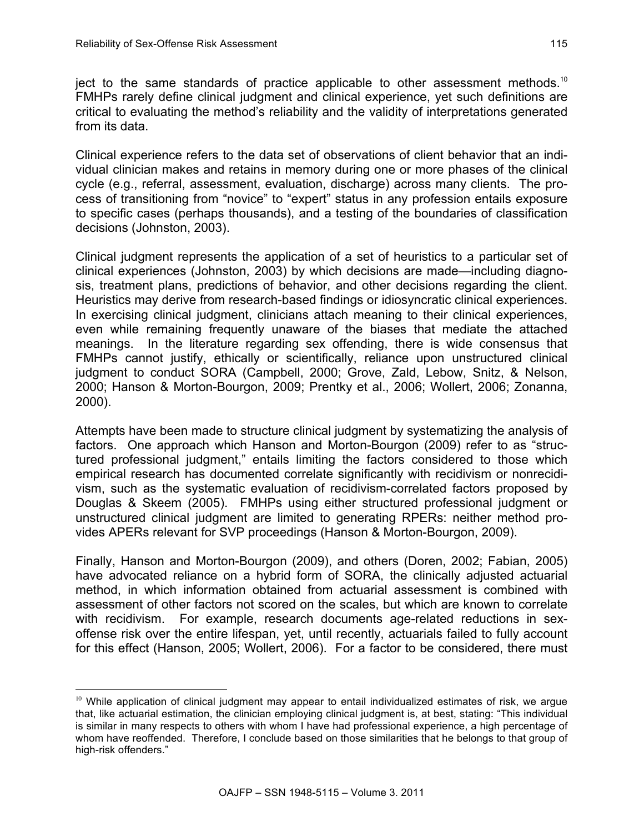ject to the same standards of practice applicable to other assessment methods.10 FMHPs rarely define clinical judgment and clinical experience, yet such definitions are critical to evaluating the method's reliability and the validity of interpretations generated from its data.

Clinical experience refers to the data set of observations of client behavior that an individual clinician makes and retains in memory during one or more phases of the clinical cycle (e.g., referral, assessment, evaluation, discharge) across many clients. The process of transitioning from "novice" to "expert" status in any profession entails exposure to specific cases (perhaps thousands), and a testing of the boundaries of classification decisions (Johnston, 2003).

Clinical judgment represents the application of a set of heuristics to a particular set of clinical experiences (Johnston, 2003) by which decisions are made—including diagnosis, treatment plans, predictions of behavior, and other decisions regarding the client. Heuristics may derive from research-based findings or idiosyncratic clinical experiences. In exercising clinical judgment, clinicians attach meaning to their clinical experiences, even while remaining frequently unaware of the biases that mediate the attached meanings. In the literature regarding sex offending, there is wide consensus that FMHPs cannot justify, ethically or scientifically, reliance upon unstructured clinical judgment to conduct SORA (Campbell, 2000; Grove, Zald, Lebow, Snitz, & Nelson, 2000; Hanson & Morton-Bourgon, 2009; Prentky et al., 2006; Wollert, 2006; Zonanna, 2000).

Attempts have been made to structure clinical judgment by systematizing the analysis of factors. One approach which Hanson and Morton-Bourgon (2009) refer to as "structured professional judgment," entails limiting the factors considered to those which empirical research has documented correlate significantly with recidivism or nonrecidivism, such as the systematic evaluation of recidivism-correlated factors proposed by Douglas & Skeem (2005). FMHPs using either structured professional judgment or unstructured clinical judgment are limited to generating RPERs: neither method provides APERs relevant for SVP proceedings (Hanson & Morton-Bourgon, 2009).

Finally, Hanson and Morton-Bourgon (2009), and others (Doren, 2002; Fabian, 2005) have advocated reliance on a hybrid form of SORA, the clinically adjusted actuarial method, in which information obtained from actuarial assessment is combined with assessment of other factors not scored on the scales, but which are known to correlate with recidivism. For example, research documents age-related reductions in sexoffense risk over the entire lifespan, yet, until recently, actuarials failed to fully account for this effect (Hanson, 2005; Wollert, 2006). For a factor to be considered, there must

l <sup>10</sup> While application of clinical judgment may appear to entail individualized estimates of risk, we argue that, like actuarial estimation, the clinician employing clinical judgment is, at best, stating: "This individual is similar in many respects to others with whom I have had professional experience, a high percentage of whom have reoffended. Therefore, I conclude based on those similarities that he belongs to that group of high-risk offenders."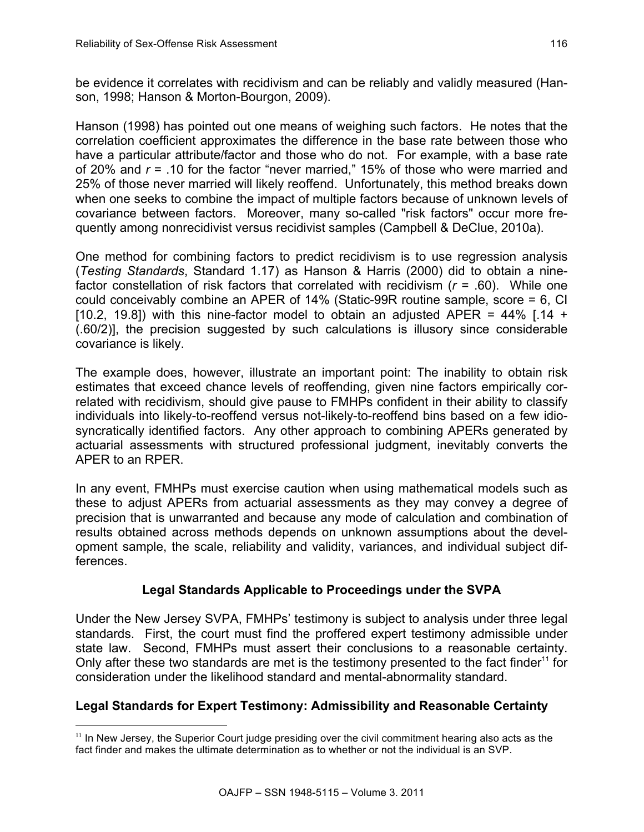l

be evidence it correlates with recidivism and can be reliably and validly measured (Hanson, 1998; Hanson & Morton-Bourgon, 2009).

Hanson (1998) has pointed out one means of weighing such factors. He notes that the correlation coefficient approximates the difference in the base rate between those who have a particular attribute/factor and those who do not. For example, with a base rate of 20% and *r* = .10 for the factor "never married," 15% of those who were married and 25% of those never married will likely reoffend. Unfortunately, this method breaks down when one seeks to combine the impact of multiple factors because of unknown levels of covariance between factors. Moreover, many so-called "risk factors" occur more frequently among nonrecidivist versus recidivist samples (Campbell & DeClue, 2010a).

One method for combining factors to predict recidivism is to use regression analysis (*Testing Standards*, Standard 1.17) as Hanson & Harris (2000) did to obtain a ninefactor constellation of risk factors that correlated with recidivism (*r* = .60). While one could conceivably combine an APER of 14% (Static-99R routine sample, score = 6, CI [10.2, 19.8]) with this nine-factor model to obtain an adjusted APER =  $44\%$  [.14 + (.60/2)], the precision suggested by such calculations is illusory since considerable covariance is likely.

The example does, however, illustrate an important point: The inability to obtain risk estimates that exceed chance levels of reoffending, given nine factors empirically correlated with recidivism, should give pause to FMHPs confident in their ability to classify individuals into likely-to-reoffend versus not-likely-to-reoffend bins based on a few idiosyncratically identified factors. Any other approach to combining APERs generated by actuarial assessments with structured professional judgment, inevitably converts the APER to an RPER.

In any event, FMHPs must exercise caution when using mathematical models such as these to adjust APERs from actuarial assessments as they may convey a degree of precision that is unwarranted and because any mode of calculation and combination of results obtained across methods depends on unknown assumptions about the development sample, the scale, reliability and validity, variances, and individual subject differences.

# **Legal Standards Applicable to Proceedings under the SVPA**

Under the New Jersey SVPA, FMHPs' testimony is subject to analysis under three legal standards. First, the court must find the proffered expert testimony admissible under state law. Second, FMHPs must assert their conclusions to a reasonable certainty. Only after these two standards are met is the testimony presented to the fact finder<sup>11</sup> for consideration under the likelihood standard and mental-abnormality standard.

# **Legal Standards for Expert Testimony: Admissibility and Reasonable Certainty**

 $<sup>11</sup>$  In New Jersey, the Superior Court judge presiding over the civil commitment hearing also acts as the</sup> fact finder and makes the ultimate determination as to whether or not the individual is an SVP.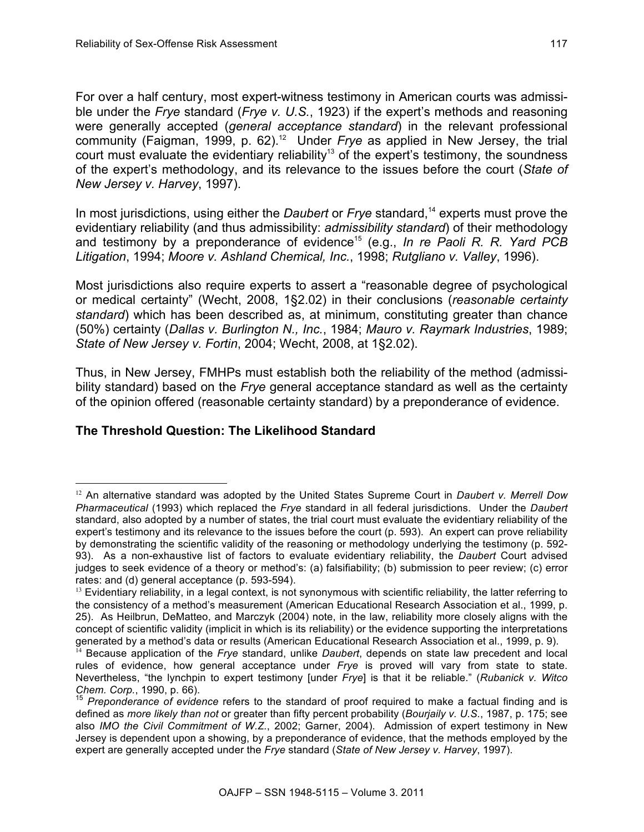For over a half century, most expert-witness testimony in American courts was admissible under the *Frye* standard (*Frye v. U.S.*, 1923) if the expert's methods and reasoning were generally accepted (*general acceptance standard*) in the relevant professional community (Faigman, 1999, p. 62).<sup>12</sup> Under *Frye* as applied in New Jersey, the trial court must evaluate the evidentiary reliability<sup>13</sup> of the expert's testimony, the soundness of the expert's methodology, and its relevance to the issues before the court (*State of New Jersey v. Harvey*, 1997).

In most jurisdictions, using either the *Daubert* or *Frye* standard,<sup>14</sup> experts must prove the evidentiary reliability (and thus admissibility: *admissibility standard*) of their methodology and testimony by a preponderance of evidence15 (e.g., *In re Paoli R. R. Yard PCB Litigation*, 1994; *Moore v. Ashland Chemical, Inc.*, 1998; *Rutgliano v. Valley*, 1996).

Most jurisdictions also require experts to assert a "reasonable degree of psychological or medical certainty" (Wecht, 2008, 1§2.02) in their conclusions (*reasonable certainty standard*) which has been described as, at minimum, constituting greater than chance (50%) certainty (*Dallas v. Burlington N., Inc.*, 1984; *Mauro v. Raymark Industries*, 1989; *State of New Jersey v. Fortin*, 2004; Wecht, 2008, at 1§2.02).

Thus, in New Jersey, FMHPs must establish both the reliability of the method (admissibility standard) based on the *Frye* general acceptance standard as well as the certainty of the opinion offered (reasonable certainty standard) by a preponderance of evidence.

# **The Threshold Question: The Likelihood Standard**

l

<sup>12</sup> An alternative standard was adopted by the United States Supreme Court in *Daubert v. Merrell Dow Pharmaceutical* (1993) which replaced the *Frye* standard in all federal jurisdictions. Under the *Daubert* standard, also adopted by a number of states, the trial court must evaluate the evidentiary reliability of the expert's testimony and its relevance to the issues before the court (p. 593). An expert can prove reliability by demonstrating the scientific validity of the reasoning or methodology underlying the testimony (p. 592- 93). As a non-exhaustive list of factors to evaluate evidentiary reliability, the *Daubert* Court advised judges to seek evidence of a theory or method's: (a) falsifiability; (b) submission to peer review; (c) error rates: and (d) general acceptance (p. 593-594).

 $<sup>13</sup>$  Evidentiary reliability, in a legal context, is not synonymous with scientific reliability, the latter referring to</sup> the consistency of a method's measurement (American Educational Research Association et al., 1999, p. 25). As Heilbrun, DeMatteo, and Marczyk (2004) note, in the law, reliability more closely aligns with the concept of scientific validity (implicit in which is its reliability) or the evidence supporting the interpretations generated by a method's data or results (American Educational Research Association et al., 1999, p. 9).

<sup>&</sup>lt;sup>14</sup> Because application of the *Frye* standard, unlike *Daubert*, depends on state law precedent and local rules of evidence, how general acceptance under *Frye* is proved will vary from state to state. Nevertheless, "the lynchpin to expert testimony [under *Frye*] is that it be reliable." (*Rubanick v. Witco* 

*Preponderance of evidence* refers to the standard of proof required to make a factual finding and is defined as *more likely than not* or greater than fifty percent probability (*Bourjaily v. U.S.*, 1987, p. 175; see also *IMO the Civil Commitment of W.Z.*, 2002; Garner, 2004). Admission of expert testimony in New Jersey is dependent upon a showing, by a preponderance of evidence, that the methods employed by the expert are generally accepted under the *Frye* standard (*State of New Jersey v. Harvey*, 1997).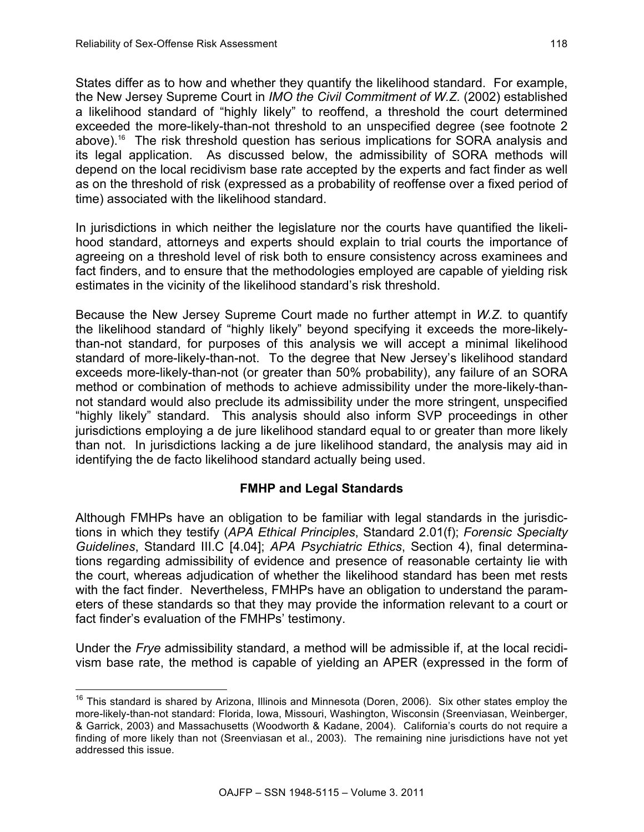States differ as to how and whether they quantify the likelihood standard. For example, the New Jersey Supreme Court in *IMO the Civil Commitment of W.Z.* (2002) established a likelihood standard of "highly likely" to reoffend, a threshold the court determined exceeded the more-likely-than-not threshold to an unspecified degree (see footnote 2 above).<sup>16</sup> The risk threshold question has serious implications for SORA analysis and its legal application. As discussed below, the admissibility of SORA methods will depend on the local recidivism base rate accepted by the experts and fact finder as well as on the threshold of risk (expressed as a probability of reoffense over a fixed period of time) associated with the likelihood standard.

In jurisdictions in which neither the legislature nor the courts have quantified the likelihood standard, attorneys and experts should explain to trial courts the importance of agreeing on a threshold level of risk both to ensure consistency across examinees and fact finders, and to ensure that the methodologies employed are capable of yielding risk estimates in the vicinity of the likelihood standard's risk threshold.

Because the New Jersey Supreme Court made no further attempt in *W.Z.* to quantify the likelihood standard of "highly likely" beyond specifying it exceeds the more-likelythan-not standard, for purposes of this analysis we will accept a minimal likelihood standard of more-likely-than-not. To the degree that New Jersey's likelihood standard exceeds more-likely-than-not (or greater than 50% probability), any failure of an SORA method or combination of methods to achieve admissibility under the more-likely-thannot standard would also preclude its admissibility under the more stringent, unspecified "highly likely" standard. This analysis should also inform SVP proceedings in other jurisdictions employing a de jure likelihood standard equal to or greater than more likely than not. In jurisdictions lacking a de jure likelihood standard, the analysis may aid in identifying the de facto likelihood standard actually being used.

# **FMHP and Legal Standards**

Although FMHPs have an obligation to be familiar with legal standards in the jurisdictions in which they testify (*APA Ethical Principles*, Standard 2.01(f); *Forensic Specialty Guidelines*, Standard III.C [4.04]; *APA Psychiatric Ethics*, Section 4), final determinations regarding admissibility of evidence and presence of reasonable certainty lie with the court, whereas adjudication of whether the likelihood standard has been met rests with the fact finder. Nevertheless, FMHPs have an obligation to understand the parameters of these standards so that they may provide the information relevant to a court or fact finder's evaluation of the FMHPs' testimony.

Under the *Frye* admissibility standard, a method will be admissible if, at the local recidivism base rate, the method is capable of yielding an APER (expressed in the form of

<sup>&</sup>lt;sup>16</sup> This standard is shared by Arizona, Illinois and Minnesota (Doren, 2006). Six other states employ the more-likely-than-not standard: Florida, Iowa, Missouri, Washington, Wisconsin (Sreenviasan, Weinberger, & Garrick, 2003) and Massachusetts (Woodworth & Kadane, 2004). California's courts do not require a finding of more likely than not (Sreenviasan et al., 2003). The remaining nine jurisdictions have not yet addressed this issue.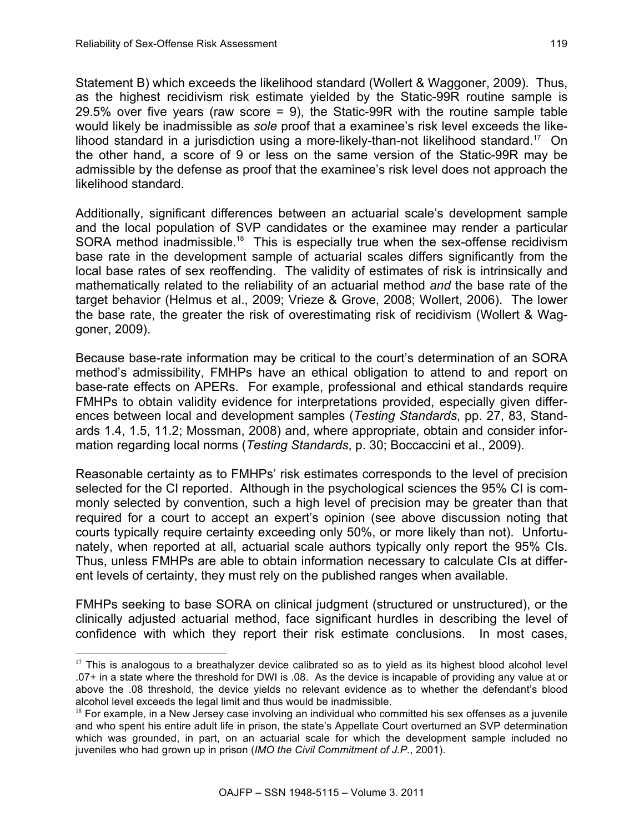$\overline{a}$ 

Statement B) which exceeds the likelihood standard (Wollert & Waggoner, 2009). Thus, as the highest recidivism risk estimate yielded by the Static-99R routine sample is 29.5% over five years (raw score = 9), the Static-99R with the routine sample table would likely be inadmissible as *sole* proof that a examinee's risk level exceeds the likelihood standard in a jurisdiction using a more-likely-than-not likelihood standard.<sup>17</sup> On the other hand, a score of 9 or less on the same version of the Static-99R may be admissible by the defense as proof that the examinee's risk level does not approach the likelihood standard.

Additionally, significant differences between an actuarial scale's development sample and the local population of SVP candidates or the examinee may render a particular SORA method inadmissible.<sup>18</sup> This is especially true when the sex-offense recidivism base rate in the development sample of actuarial scales differs significantly from the local base rates of sex reoffending. The validity of estimates of risk is intrinsically and mathematically related to the reliability of an actuarial method *and* the base rate of the target behavior (Helmus et al., 2009; Vrieze & Grove, 2008; Wollert, 2006). The lower the base rate, the greater the risk of overestimating risk of recidivism (Wollert & Waggoner, 2009).

Because base-rate information may be critical to the court's determination of an SORA method's admissibility, FMHPs have an ethical obligation to attend to and report on base-rate effects on APERs. For example, professional and ethical standards require FMHPs to obtain validity evidence for interpretations provided, especially given differences between local and development samples (*Testing Standards*, pp. 27, 83, Standards 1.4, 1.5, 11.2; Mossman, 2008) and, where appropriate, obtain and consider information regarding local norms (*Testing Standards*, p. 30; Boccaccini et al., 2009).

Reasonable certainty as to FMHPs' risk estimates corresponds to the level of precision selected for the CI reported. Although in the psychological sciences the 95% CI is commonly selected by convention, such a high level of precision may be greater than that required for a court to accept an expert's opinion (see above discussion noting that courts typically require certainty exceeding only 50%, or more likely than not). Unfortunately, when reported at all, actuarial scale authors typically only report the 95% CIs. Thus, unless FMHPs are able to obtain information necessary to calculate CIs at different levels of certainty, they must rely on the published ranges when available.

FMHPs seeking to base SORA on clinical judgment (structured or unstructured), or the clinically adjusted actuarial method, face significant hurdles in describing the level of confidence with which they report their risk estimate conclusions. In most cases,

 $17$  This is analogous to a breathalyzer device calibrated so as to yield as its highest blood alcohol level .07+ in a state where the threshold for DWI is .08. As the device is incapable of providing any value at or above the .08 threshold, the device yields no relevant evidence as to whether the defendant's blood alcohol level exceeds the legal limit and thus would be inadmissible.

 $18$  For example, in a New Jersey case involving an individual who committed his sex offenses as a juvenile and who spent his entire adult life in prison, the state's Appellate Court overturned an SVP determination which was grounded, in part, on an actuarial scale for which the development sample included no juveniles who had grown up in prison (*IMO the Civil Commitment of J.P.*, 2001).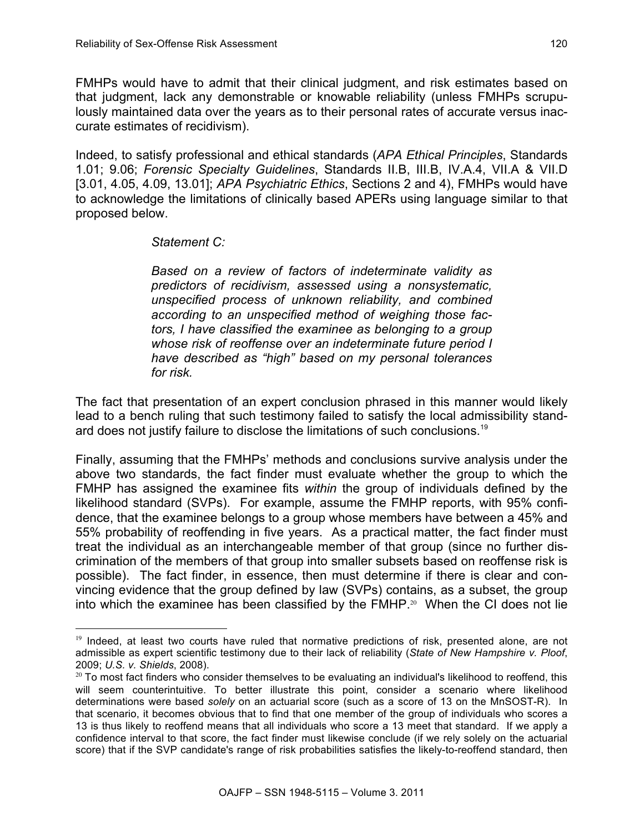FMHPs would have to admit that their clinical judgment, and risk estimates based on that judgment, lack any demonstrable or knowable reliability (unless FMHPs scrupulously maintained data over the years as to their personal rates of accurate versus inaccurate estimates of recidivism).

Indeed, to satisfy professional and ethical standards (*APA Ethical Principles*, Standards 1.01; 9.06; *Forensic Specialty Guidelines*, Standards II.B, III.B, IV.A.4, VII.A & VII.D [3.01, 4.05, 4.09, 13.01]; *APA Psychiatric Ethics*, Sections 2 and 4), FMHPs would have to acknowledge the limitations of clinically based APERs using language similar to that proposed below.

#### *Statement C:*

l

*Based on a review of factors of indeterminate validity as predictors of recidivism, assessed using a nonsystematic, unspecified process of unknown reliability, and combined according to an unspecified method of weighing those factors, I have classified the examinee as belonging to a group whose risk of reoffense over an indeterminate future period I have described as "high" based on my personal tolerances for risk.*

The fact that presentation of an expert conclusion phrased in this manner would likely lead to a bench ruling that such testimony failed to satisfy the local admissibility standard does not justify failure to disclose the limitations of such conclusions.<sup>19</sup>

Finally, assuming that the FMHPs' methods and conclusions survive analysis under the above two standards, the fact finder must evaluate whether the group to which the FMHP has assigned the examinee fits *within* the group of individuals defined by the likelihood standard (SVPs). For example, assume the FMHP reports, with 95% confidence, that the examinee belongs to a group whose members have between a 45% and 55% probability of reoffending in five years. As a practical matter, the fact finder must treat the individual as an interchangeable member of that group (since no further discrimination of the members of that group into smaller subsets based on reoffense risk is possible). The fact finder, in essence, then must determine if there is clear and convincing evidence that the group defined by law (SVPs) contains, as a subset, the group into which the examinee has been classified by the  $FMHP<sup>20</sup>$  When the CI does not lie

 $19$  Indeed, at least two courts have ruled that normative predictions of risk, presented alone, are not admissible as expert scientific testimony due to their lack of reliability (*State of New Hampshire v. Ploof*, 2009; *U.S. v. Shields*, 2008).

 $20$  To most fact finders who consider themselves to be evaluating an individual's likelihood to reoffend, this will seem counterintuitive. To better illustrate this point, consider a scenario where likelihood determinations were based *solely* on an actuarial score (such as a score of 13 on the MnSOST-R). In that scenario, it becomes obvious that to find that one member of the group of individuals who scores a 13 is thus likely to reoffend means that all individuals who score a 13 meet that standard. If we apply a confidence interval to that score, the fact finder must likewise conclude (if we rely solely on the actuarial score) that if the SVP candidate's range of risk probabilities satisfies the likely-to-reoffend standard, then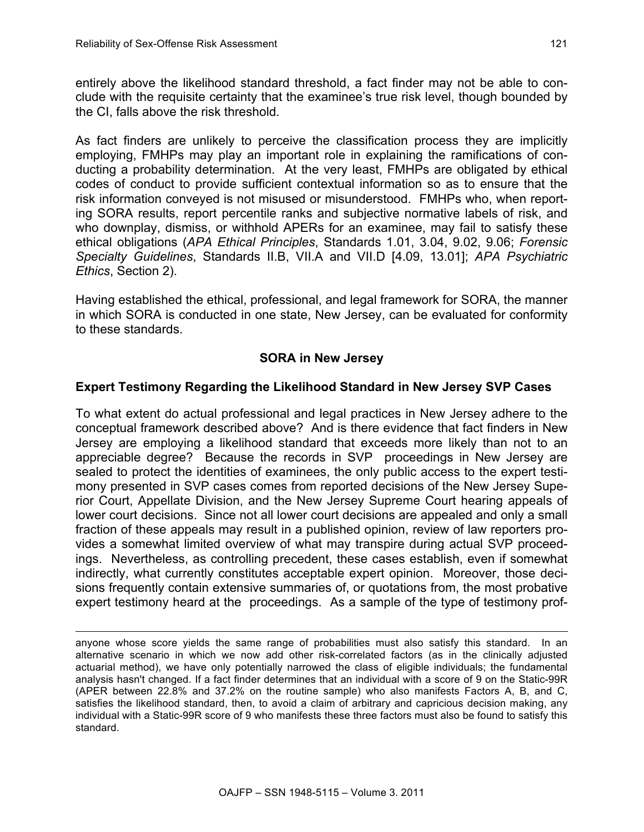entirely above the likelihood standard threshold, a fact finder may not be able to conclude with the requisite certainty that the examinee's true risk level, though bounded by the CI, falls above the risk threshold.

As fact finders are unlikely to perceive the classification process they are implicitly employing, FMHPs may play an important role in explaining the ramifications of conducting a probability determination. At the very least, FMHPs are obligated by ethical codes of conduct to provide sufficient contextual information so as to ensure that the risk information conveyed is not misused or misunderstood. FMHPs who, when reporting SORA results, report percentile ranks and subjective normative labels of risk, and who downplay, dismiss, or withhold APERs for an examinee, may fail to satisfy these ethical obligations (*APA Ethical Principles*, Standards 1.01, 3.04, 9.02, 9.06; *Forensic Specialty Guidelines*, Standards II.B, VII.A and VII.D [4.09, 13.01]; *APA Psychiatric Ethics*, Section 2).

Having established the ethical, professional, and legal framework for SORA, the manner in which SORA is conducted in one state, New Jersey, can be evaluated for conformity to these standards.

# **SORA in New Jersey**

# **Expert Testimony Regarding the Likelihood Standard in New Jersey SVP Cases**

To what extent do actual professional and legal practices in New Jersey adhere to the conceptual framework described above? And is there evidence that fact finders in New Jersey are employing a likelihood standard that exceeds more likely than not to an appreciable degree? Because the records in SVP proceedings in New Jersey are sealed to protect the identities of examinees, the only public access to the expert testimony presented in SVP cases comes from reported decisions of the New Jersey Superior Court, Appellate Division, and the New Jersey Supreme Court hearing appeals of lower court decisions. Since not all lower court decisions are appealed and only a small fraction of these appeals may result in a published opinion, review of law reporters provides a somewhat limited overview of what may transpire during actual SVP proceedings. Nevertheless, as controlling precedent, these cases establish, even if somewhat indirectly, what currently constitutes acceptable expert opinion. Moreover, those decisions frequently contain extensive summaries of, or quotations from, the most probative expert testimony heard at the proceedings. As a sample of the type of testimony prof-

anyone whose score yields the same range of probabilities must also satisfy this standard. In an alternative scenario in which we now add other risk-correlated factors (as in the clinically adjusted actuarial method), we have only potentially narrowed the class of eligible individuals; the fundamental analysis hasn't changed. If a fact finder determines that an individual with a score of 9 on the Static-99R (APER between 22.8% and 37.2% on the routine sample) who also manifests Factors A, B, and C, satisfies the likelihood standard, then, to avoid a claim of arbitrary and capricious decision making, any individual with a Static-99R score of 9 who manifests these three factors must also be found to satisfy this standard.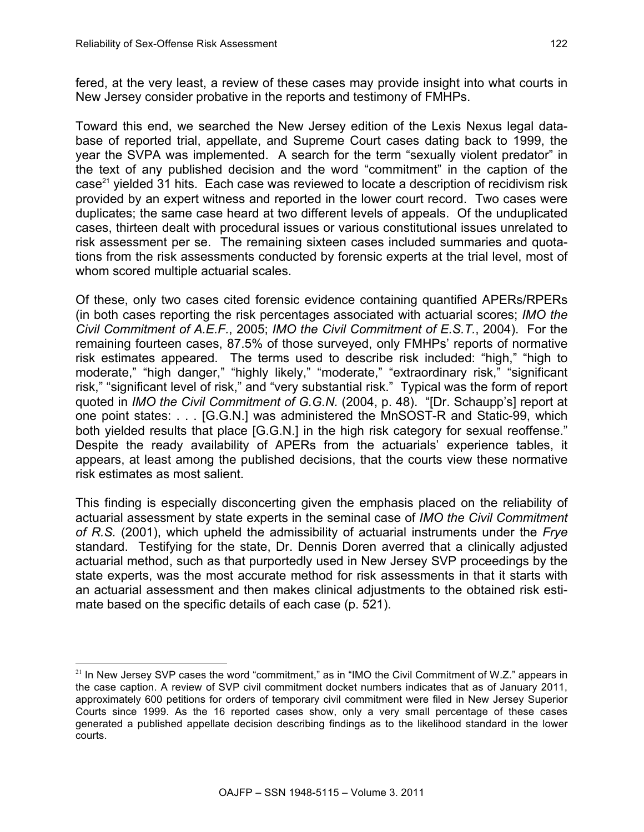fered, at the very least, a review of these cases may provide insight into what courts in New Jersey consider probative in the reports and testimony of FMHPs.

Toward this end, we searched the New Jersey edition of the Lexis Nexus legal database of reported trial, appellate, and Supreme Court cases dating back to 1999, the year the SVPA was implemented. A search for the term "sexually violent predator" in the text of any published decision and the word "commitment" in the caption of the case<sup>21</sup> yielded 31 hits. Each case was reviewed to locate a description of recidivism risk provided by an expert witness and reported in the lower court record. Two cases were duplicates; the same case heard at two different levels of appeals. Of the unduplicated cases, thirteen dealt with procedural issues or various constitutional issues unrelated to risk assessment per se. The remaining sixteen cases included summaries and quotations from the risk assessments conducted by forensic experts at the trial level, most of whom scored multiple actuarial scales.

Of these, only two cases cited forensic evidence containing quantified APERs/RPERs (in both cases reporting the risk percentages associated with actuarial scores; *IMO the Civil Commitment of A.E.F.*, 2005; *IMO the Civil Commitment of E.S.T.*, 2004). For the remaining fourteen cases, 87.5% of those surveyed, only FMHPs' reports of normative risk estimates appeared. The terms used to describe risk included: "high," "high to moderate," "high danger," "highly likely," "moderate," "extraordinary risk," "significant risk," "significant level of risk," and "very substantial risk." Typical was the form of report quoted in *IMO the Civil Commitment of G.G.N.* (2004, p. 48). "[Dr. Schaupp's] report at one point states: . . . [G.G.N.] was administered the MnSOST-R and Static-99, which both yielded results that place [G.G.N.] in the high risk category for sexual reoffense." Despite the ready availability of APERs from the actuarials' experience tables, it appears, at least among the published decisions, that the courts view these normative risk estimates as most salient.

This finding is especially disconcerting given the emphasis placed on the reliability of actuarial assessment by state experts in the seminal case of *IMO the Civil Commitment of R.S.* (2001), which upheld the admissibility of actuarial instruments under the *Frye* standard. Testifying for the state, Dr. Dennis Doren averred that a clinically adjusted actuarial method, such as that purportedly used in New Jersey SVP proceedings by the state experts, was the most accurate method for risk assessments in that it starts with an actuarial assessment and then makes clinical adjustments to the obtained risk estimate based on the specific details of each case (p. 521).

l  $21$  In New Jersey SVP cases the word "commitment," as in "IMO the Civil Commitment of W.Z." appears in the case caption. A review of SVP civil commitment docket numbers indicates that as of January 2011, approximately 600 petitions for orders of temporary civil commitment were filed in New Jersey Superior Courts since 1999. As the 16 reported cases show, only a very small percentage of these cases generated a published appellate decision describing findings as to the likelihood standard in the lower courts.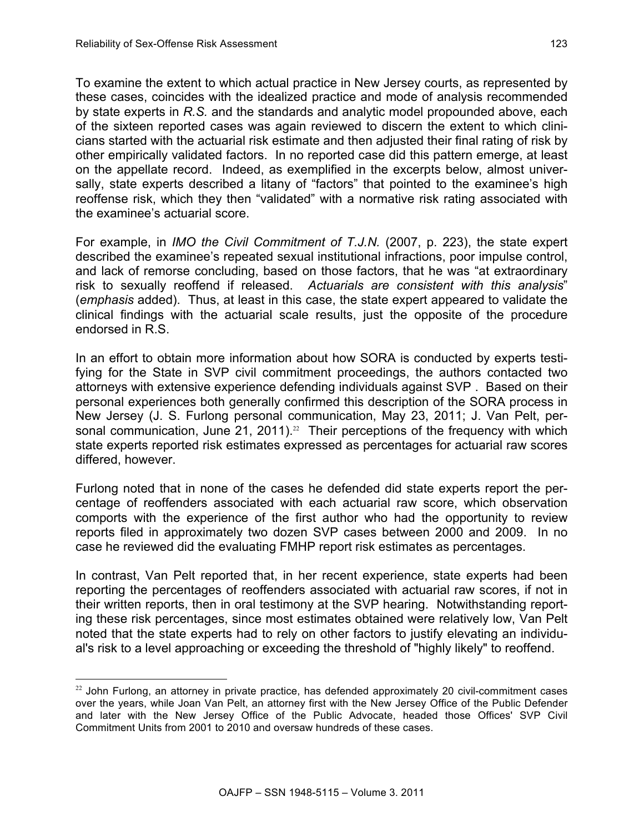l

To examine the extent to which actual practice in New Jersey courts, as represented by these cases, coincides with the idealized practice and mode of analysis recommended by state experts in *R.S.* and the standards and analytic model propounded above, each of the sixteen reported cases was again reviewed to discern the extent to which clinicians started with the actuarial risk estimate and then adjusted their final rating of risk by other empirically validated factors. In no reported case did this pattern emerge, at least on the appellate record. Indeed, as exemplified in the excerpts below, almost universally, state experts described a litany of "factors" that pointed to the examinee's high reoffense risk, which they then "validated" with a normative risk rating associated with the examinee's actuarial score.

For example, in *IMO the Civil Commitment of T.J.N.* (2007, p. 223), the state expert described the examinee's repeated sexual institutional infractions, poor impulse control, and lack of remorse concluding, based on those factors, that he was "at extraordinary risk to sexually reoffend if released. *Actuarials are consistent with this analysis*" (*emphasis* added). Thus, at least in this case, the state expert appeared to validate the clinical findings with the actuarial scale results, just the opposite of the procedure endorsed in R.S.

In an effort to obtain more information about how SORA is conducted by experts testifying for the State in SVP civil commitment proceedings, the authors contacted two attorneys with extensive experience defending individuals against SVP . Based on their personal experiences both generally confirmed this description of the SORA process in New Jersey (J. S. Furlong personal communication, May 23, 2011; J. Van Pelt, personal communication, June 21, 2011).<sup>22</sup> Their perceptions of the frequency with which state experts reported risk estimates expressed as percentages for actuarial raw scores differed, however.

Furlong noted that in none of the cases he defended did state experts report the percentage of reoffenders associated with each actuarial raw score, which observation comports with the experience of the first author who had the opportunity to review reports filed in approximately two dozen SVP cases between 2000 and 2009. In no case he reviewed did the evaluating FMHP report risk estimates as percentages.

In contrast, Van Pelt reported that, in her recent experience, state experts had been reporting the percentages of reoffenders associated with actuarial raw scores, if not in their written reports, then in oral testimony at the SVP hearing. Notwithstanding reporting these risk percentages, since most estimates obtained were relatively low, Van Pelt noted that the state experts had to rely on other factors to justify elevating an individual's risk to a level approaching or exceeding the threshold of "highly likely" to reoffend.

<sup>&</sup>lt;sup>22</sup> John Furlong, an attorney in private practice, has defended approximately 20 civil-commitment cases over the years, while Joan Van Pelt, an attorney first with the New Jersey Office of the Public Defender and later with the New Jersey Office of the Public Advocate, headed those Offices' SVP Civil Commitment Units from 2001 to 2010 and oversaw hundreds of these cases.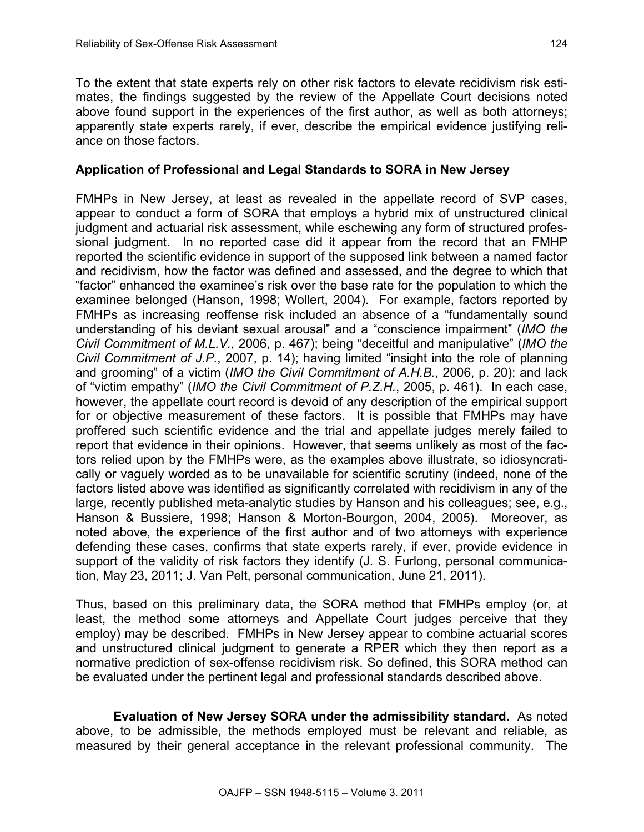To the extent that state experts rely on other risk factors to elevate recidivism risk estimates, the findings suggested by the review of the Appellate Court decisions noted above found support in the experiences of the first author, as well as both attorneys; apparently state experts rarely, if ever, describe the empirical evidence justifying reliance on those factors.

### **Application of Professional and Legal Standards to SORA in New Jersey**

FMHPs in New Jersey, at least as revealed in the appellate record of SVP cases, appear to conduct a form of SORA that employs a hybrid mix of unstructured clinical judgment and actuarial risk assessment, while eschewing any form of structured professional judgment. In no reported case did it appear from the record that an FMHP reported the scientific evidence in support of the supposed link between a named factor and recidivism, how the factor was defined and assessed, and the degree to which that "factor" enhanced the examinee's risk over the base rate for the population to which the examinee belonged (Hanson, 1998; Wollert, 2004). For example, factors reported by FMHPs as increasing reoffense risk included an absence of a "fundamentally sound understanding of his deviant sexual arousal" and a "conscience impairment" (*IMO the Civil Commitment of M.L.V.*, 2006, p. 467); being "deceitful and manipulative" (*IMO the Civil Commitment of J.P.*, 2007, p. 14); having limited "insight into the role of planning and grooming" of a victim (*IMO the Civil Commitment of A.H.B.*, 2006, p. 20); and lack of "victim empathy" (*IMO the Civil Commitment of P.Z.H.*, 2005, p. 461). In each case, however, the appellate court record is devoid of any description of the empirical support for or objective measurement of these factors. It is possible that FMHPs may have proffered such scientific evidence and the trial and appellate judges merely failed to report that evidence in their opinions. However, that seems unlikely as most of the factors relied upon by the FMHPs were, as the examples above illustrate, so idiosyncratically or vaguely worded as to be unavailable for scientific scrutiny (indeed, none of the factors listed above was identified as significantly correlated with recidivism in any of the large, recently published meta-analytic studies by Hanson and his colleagues; see, e.g., Hanson & Bussiere, 1998; Hanson & Morton-Bourgon, 2004, 2005). Moreover, as noted above, the experience of the first author and of two attorneys with experience defending these cases, confirms that state experts rarely, if ever, provide evidence in support of the validity of risk factors they identify (J. S. Furlong, personal communication, May 23, 2011; J. Van Pelt, personal communication, June 21, 2011).

Thus, based on this preliminary data, the SORA method that FMHPs employ (or, at least, the method some attorneys and Appellate Court judges perceive that they employ) may be described. FMHPs in New Jersey appear to combine actuarial scores and unstructured clinical judgment to generate a RPER which they then report as a normative prediction of sex-offense recidivism risk. So defined, this SORA method can be evaluated under the pertinent legal and professional standards described above.

**Evaluation of New Jersey SORA under the admissibility standard.** As noted above, to be admissible, the methods employed must be relevant and reliable, as measured by their general acceptance in the relevant professional community. The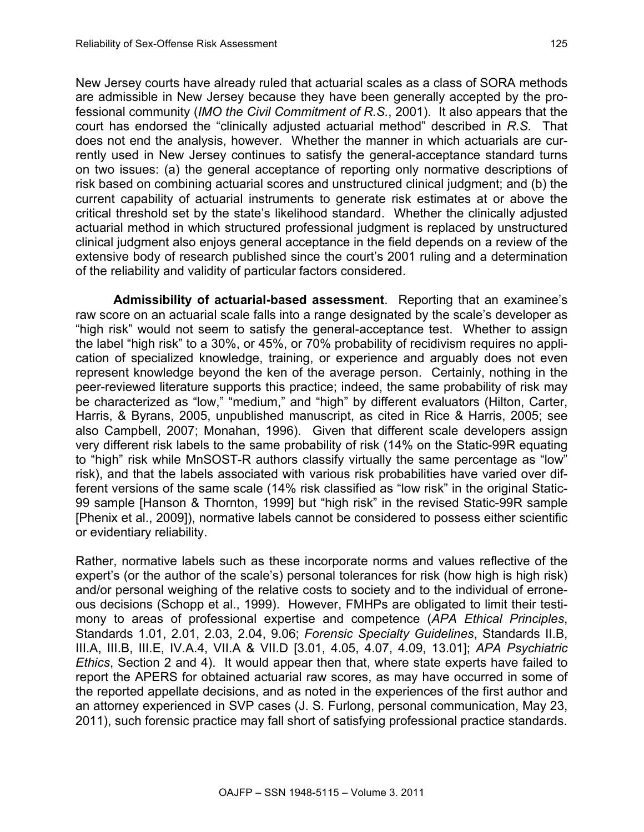New Jersey courts have already ruled that actuarial scales as a class of SORA methods are admissible in New Jersey because they have been generally accepted by the professional community (*IMO the Civil Commitment of R.S.*, 2001). It also appears that the court has endorsed the "clinically adjusted actuarial method" described in *R.S.* That does not end the analysis, however. Whether the manner in which actuarials are currently used in New Jersey continues to satisfy the general-acceptance standard turns on two issues: (a) the general acceptance of reporting only normative descriptions of risk based on combining actuarial scores and unstructured clinical judgment; and (b) the current capability of actuarial instruments to generate risk estimates at or above the critical threshold set by the state's likelihood standard. Whether the clinically adjusted actuarial method in which structured professional judgment is replaced by unstructured clinical judgment also enjoys general acceptance in the field depends on a review of the extensive body of research published since the court's 2001 ruling and a determination of the reliability and validity of particular factors considered.

**Admissibility of actuarial-based assessment**. Reporting that an examinee's raw score on an actuarial scale falls into a range designated by the scale's developer as "high risk" would not seem to satisfy the general-acceptance test. Whether to assign the label "high risk" to a 30%, or 45%, or 70% probability of recidivism requires no application of specialized knowledge, training, or experience and arguably does not even represent knowledge beyond the ken of the average person. Certainly, nothing in the peer-reviewed literature supports this practice; indeed, the same probability of risk may be characterized as "low," "medium," and "high" by different evaluators (Hilton, Carter, Harris, & Byrans, 2005, unpublished manuscript, as cited in Rice & Harris, 2005; see also Campbell, 2007; Monahan, 1996). Given that different scale developers assign very different risk labels to the same probability of risk (14% on the Static-99R equating to "high" risk while MnSOST-R authors classify virtually the same percentage as "low" risk), and that the labels associated with various risk probabilities have varied over different versions of the same scale (14% risk classified as "low risk" in the original Static-99 sample [Hanson & Thornton, 1999] but "high risk" in the revised Static-99R sample [Phenix et al., 2009]), normative labels cannot be considered to possess either scientific or evidentiary reliability.

Rather, normative labels such as these incorporate norms and values reflective of the expert's (or the author of the scale's) personal tolerances for risk (how high is high risk) and/or personal weighing of the relative costs to society and to the individual of erroneous decisions (Schopp et al., 1999). However, FMHPs are obligated to limit their testimony to areas of professional expertise and competence (*APA Ethical Principles*, Standards 1.01, 2.01, 2.03, 2.04, 9.06; *Forensic Specialty Guidelines*, Standards II.B, III.A, III.B, III.E, IV.A.4, VII.A & VII.D [3.01, 4.05, 4.07, 4.09, 13.01]; *APA Psychiatric Ethics*, Section 2 and 4). It would appear then that, where state experts have failed to report the APERS for obtained actuarial raw scores, as may have occurred in some of the reported appellate decisions, and as noted in the experiences of the first author and an attorney experienced in SVP cases (J. S. Furlong, personal communication, May 23, 2011), such forensic practice may fall short of satisfying professional practice standards.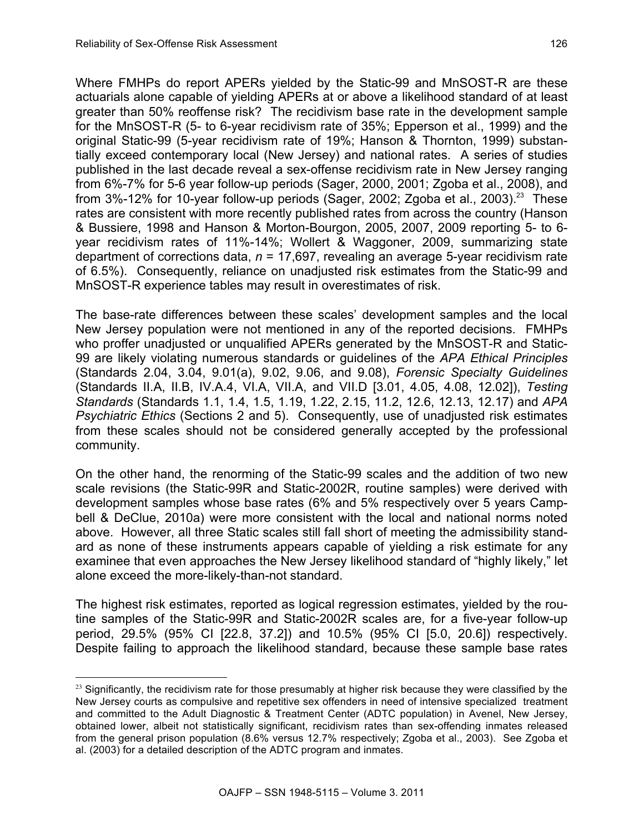$\overline{a}$ 

Where FMHPs do report APERs yielded by the Static-99 and MnSOST-R are these actuarials alone capable of yielding APERs at or above a likelihood standard of at least greater than 50% reoffense risk? The recidivism base rate in the development sample for the MnSOST-R (5- to 6-year recidivism rate of 35%; Epperson et al., 1999) and the original Static-99 (5-year recidivism rate of 19%; Hanson & Thornton, 1999) substantially exceed contemporary local (New Jersey) and national rates. A series of studies published in the last decade reveal a sex-offense recidivism rate in New Jersey ranging from 6%-7% for 5-6 year follow-up periods (Sager, 2000, 2001; Zgoba et al., 2008), and from  $3\%$ -12% for 10-year follow-up periods (Sager, 2002; Zgoba et al., 2003).<sup>23</sup> These rates are consistent with more recently published rates from across the country (Hanson & Bussiere, 1998 and Hanson & Morton-Bourgon, 2005, 2007, 2009 reporting 5- to 6 year recidivism rates of 11%-14%; Wollert & Waggoner, 2009, summarizing state department of corrections data, *n* = 17,697, revealing an average 5-year recidivism rate of 6.5%). Consequently, reliance on unadjusted risk estimates from the Static-99 and MnSOST-R experience tables may result in overestimates of risk.

The base-rate differences between these scales' development samples and the local New Jersey population were not mentioned in any of the reported decisions. FMHPs who proffer unadjusted or unqualified APERs generated by the MnSOST-R and Static-99 are likely violating numerous standards or guidelines of the *APA Ethical Principles* (Standards 2.04, 3.04, 9.01(a), 9.02, 9.06, and 9.08), *Forensic Specialty Guidelines* (Standards II.A, II.B, IV.A.4, VI.A, VII.A, and VII.D [3.01, 4.05, 4.08, 12.02]), *Testing Standards* (Standards 1.1, 1.4, 1.5, 1.19, 1.22, 2.15, 11.2, 12.6, 12.13, 12.17) and *APA Psychiatric Ethics* (Sections 2 and 5). Consequently, use of unadjusted risk estimates from these scales should not be considered generally accepted by the professional community.

On the other hand, the renorming of the Static-99 scales and the addition of two new scale revisions (the Static-99R and Static-2002R, routine samples) were derived with development samples whose base rates (6% and 5% respectively over 5 years Campbell & DeClue, 2010a) were more consistent with the local and national norms noted above. However, all three Static scales still fall short of meeting the admissibility standard as none of these instruments appears capable of yielding a risk estimate for any examinee that even approaches the New Jersey likelihood standard of "highly likely," let alone exceed the more-likely-than-not standard.

The highest risk estimates, reported as logical regression estimates, yielded by the routine samples of the Static-99R and Static-2002R scales are, for a five-year follow-up period, 29.5% (95% CI [22.8, 37.2]) and 10.5% (95% CI [5.0, 20.6]) respectively. Despite failing to approach the likelihood standard, because these sample base rates

 $23$  Significantly, the recidivism rate for those presumably at higher risk because they were classified by the New Jersey courts as compulsive and repetitive sex offenders in need of intensive specialized treatment and committed to the Adult Diagnostic & Treatment Center (ADTC population) in Avenel, New Jersey, obtained lower, albeit not statistically significant, recidivism rates than sex-offending inmates released from the general prison population (8.6% versus 12.7% respectively; Zgoba et al., 2003). See Zgoba et al. (2003) for a detailed description of the ADTC program and inmates.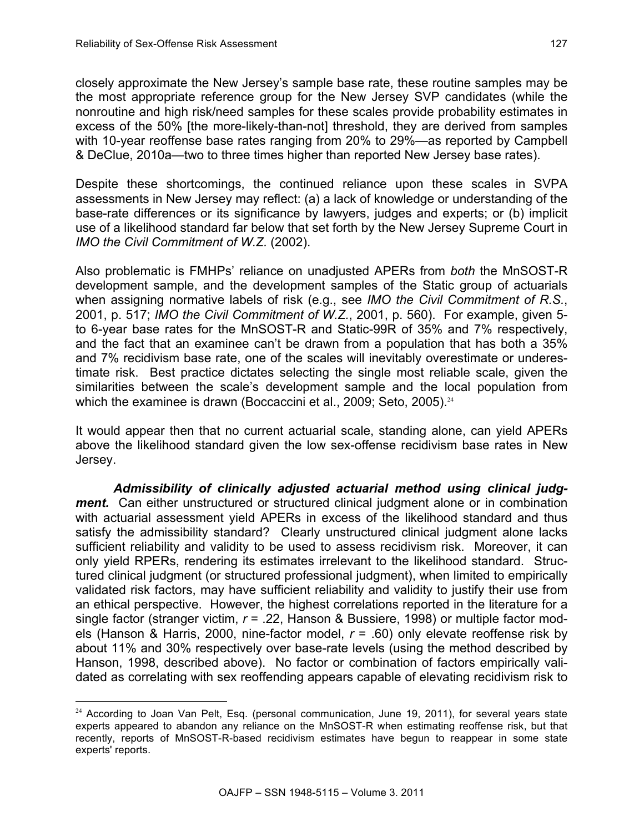l

closely approximate the New Jersey's sample base rate, these routine samples may be the most appropriate reference group for the New Jersey SVP candidates (while the nonroutine and high risk/need samples for these scales provide probability estimates in excess of the 50% [the more-likely-than-not] threshold, they are derived from samples with 10-year reoffense base rates ranging from 20% to 29%—as reported by Campbell & DeClue, 2010a—two to three times higher than reported New Jersey base rates).

Despite these shortcomings, the continued reliance upon these scales in SVPA assessments in New Jersey may reflect: (a) a lack of knowledge or understanding of the base-rate differences or its significance by lawyers, judges and experts; or (b) implicit use of a likelihood standard far below that set forth by the New Jersey Supreme Court in *IMO the Civil Commitment of W.Z.* (2002).

Also problematic is FMHPs' reliance on unadjusted APERs from *both* the MnSOST-R development sample, and the development samples of the Static group of actuarials when assigning normative labels of risk (e.g., see *IMO the Civil Commitment of R.S.*, 2001, p. 517; *IMO the Civil Commitment of W.Z.*, 2001, p. 560). For example, given 5 to 6-year base rates for the MnSOST-R and Static-99R of 35% and 7% respectively, and the fact that an examinee can't be drawn from a population that has both a 35% and 7% recidivism base rate, one of the scales will inevitably overestimate or underestimate risk. Best practice dictates selecting the single most reliable scale, given the similarities between the scale's development sample and the local population from which the examinee is drawn (Boccaccini et al., 2009; Seto, 2005).<sup>24</sup>

It would appear then that no current actuarial scale, standing alone, can yield APERs above the likelihood standard given the low sex-offense recidivism base rates in New Jersey.

*Admissibility of clinically adjusted actuarial method using clinical judgment.* Can either unstructured or structured clinical judgment alone or in combination with actuarial assessment yield APERs in excess of the likelihood standard and thus satisfy the admissibility standard? Clearly unstructured clinical judgment alone lacks sufficient reliability and validity to be used to assess recidivism risk. Moreover, it can only yield RPERs, rendering its estimates irrelevant to the likelihood standard. Structured clinical judgment (or structured professional judgment), when limited to empirically validated risk factors, may have sufficient reliability and validity to justify their use from an ethical perspective. However, the highest correlations reported in the literature for a single factor (stranger victim, *r* = .22, Hanson & Bussiere, 1998) or multiple factor models (Hanson & Harris, 2000, nine-factor model, *r* = .60) only elevate reoffense risk by about 11% and 30% respectively over base-rate levels (using the method described by Hanson, 1998, described above). No factor or combination of factors empirically validated as correlating with sex reoffending appears capable of elevating recidivism risk to

<sup>&</sup>lt;sup>24</sup> According to Joan Van Pelt, Esq. (personal communication, June 19, 2011), for several years state experts appeared to abandon any reliance on the MnSOST-R when estimating reoffense risk, but that recently, reports of MnSOST-R-based recidivism estimates have begun to reappear in some state experts' reports.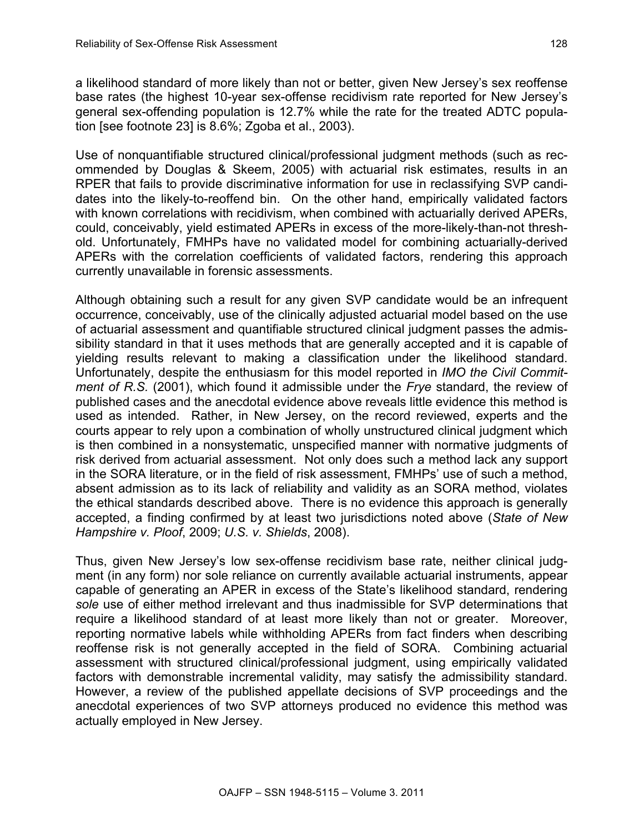a likelihood standard of more likely than not or better, given New Jersey's sex reoffense base rates (the highest 10-year sex-offense recidivism rate reported for New Jersey's general sex-offending population is 12.7% while the rate for the treated ADTC population [see footnote 23] is 8.6%; Zgoba et al., 2003).

Use of nonquantifiable structured clinical/professional judgment methods (such as recommended by Douglas & Skeem, 2005) with actuarial risk estimates, results in an RPER that fails to provide discriminative information for use in reclassifying SVP candidates into the likely-to-reoffend bin. On the other hand, empirically validated factors with known correlations with recidivism, when combined with actuarially derived APERs, could, conceivably, yield estimated APERs in excess of the more-likely-than-not threshold. Unfortunately, FMHPs have no validated model for combining actuarially-derived APERs with the correlation coefficients of validated factors, rendering this approach currently unavailable in forensic assessments.

Although obtaining such a result for any given SVP candidate would be an infrequent occurrence, conceivably, use of the clinically adjusted actuarial model based on the use of actuarial assessment and quantifiable structured clinical judgment passes the admissibility standard in that it uses methods that are generally accepted and it is capable of yielding results relevant to making a classification under the likelihood standard. Unfortunately, despite the enthusiasm for this model reported in *IMO the Civil Commitment of R.S.* (2001), which found it admissible under the *Frye* standard, the review of published cases and the anecdotal evidence above reveals little evidence this method is used as intended. Rather, in New Jersey, on the record reviewed, experts and the courts appear to rely upon a combination of wholly unstructured clinical judgment which is then combined in a nonsystematic, unspecified manner with normative judgments of risk derived from actuarial assessment. Not only does such a method lack any support in the SORA literature, or in the field of risk assessment, FMHPs' use of such a method, absent admission as to its lack of reliability and validity as an SORA method, violates the ethical standards described above. There is no evidence this approach is generally accepted, a finding confirmed by at least two jurisdictions noted above (*State of New Hampshire v. Ploof*, 2009; *U.S. v. Shields*, 2008).

Thus, given New Jersey's low sex-offense recidivism base rate, neither clinical judgment (in any form) nor sole reliance on currently available actuarial instruments, appear capable of generating an APER in excess of the State's likelihood standard, rendering *sole* use of either method irrelevant and thus inadmissible for SVP determinations that require a likelihood standard of at least more likely than not or greater. Moreover, reporting normative labels while withholding APERs from fact finders when describing reoffense risk is not generally accepted in the field of SORA. Combining actuarial assessment with structured clinical/professional judgment, using empirically validated factors with demonstrable incremental validity, may satisfy the admissibility standard. However, a review of the published appellate decisions of SVP proceedings and the anecdotal experiences of two SVP attorneys produced no evidence this method was actually employed in New Jersey.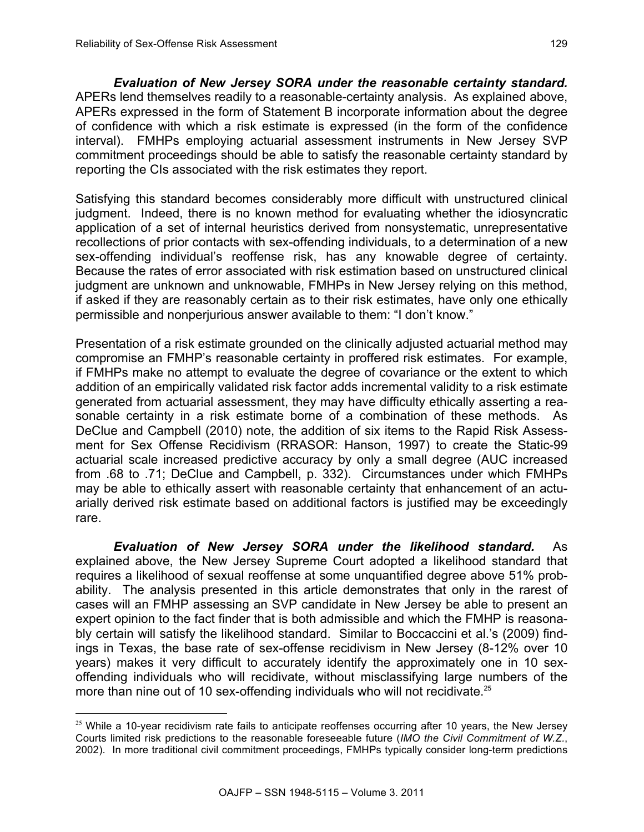l

*Evaluation of New Jersey SORA under the reasonable certainty standard.* APERs lend themselves readily to a reasonable-certainty analysis. As explained above, APERs expressed in the form of Statement B incorporate information about the degree of confidence with which a risk estimate is expressed (in the form of the confidence interval). FMHPs employing actuarial assessment instruments in New Jersey SVP commitment proceedings should be able to satisfy the reasonable certainty standard by reporting the CIs associated with the risk estimates they report.

Satisfying this standard becomes considerably more difficult with unstructured clinical judgment. Indeed, there is no known method for evaluating whether the idiosyncratic application of a set of internal heuristics derived from nonsystematic, unrepresentative recollections of prior contacts with sex-offending individuals, to a determination of a new sex-offending individual's reoffense risk, has any knowable degree of certainty. Because the rates of error associated with risk estimation based on unstructured clinical judgment are unknown and unknowable, FMHPs in New Jersey relying on this method, if asked if they are reasonably certain as to their risk estimates, have only one ethically permissible and nonperjurious answer available to them: "I don't know."

Presentation of a risk estimate grounded on the clinically adjusted actuarial method may compromise an FMHP's reasonable certainty in proffered risk estimates. For example, if FMHPs make no attempt to evaluate the degree of covariance or the extent to which addition of an empirically validated risk factor adds incremental validity to a risk estimate generated from actuarial assessment, they may have difficulty ethically asserting a reasonable certainty in a risk estimate borne of a combination of these methods. As DeClue and Campbell (2010) note, the addition of six items to the Rapid Risk Assessment for Sex Offense Recidivism (RRASOR: Hanson, 1997) to create the Static-99 actuarial scale increased predictive accuracy by only a small degree (AUC increased from .68 to .71; DeClue and Campbell, p. 332). Circumstances under which FMHPs may be able to ethically assert with reasonable certainty that enhancement of an actuarially derived risk estimate based on additional factors is justified may be exceedingly rare.

*Evaluation of New Jersey SORA under the likelihood standard.* As explained above, the New Jersey Supreme Court adopted a likelihood standard that requires a likelihood of sexual reoffense at some unquantified degree above 51% probability. The analysis presented in this article demonstrates that only in the rarest of cases will an FMHP assessing an SVP candidate in New Jersey be able to present an expert opinion to the fact finder that is both admissible and which the FMHP is reasonably certain will satisfy the likelihood standard. Similar to Boccaccini et al.'s (2009) findings in Texas, the base rate of sex-offense recidivism in New Jersey (8-12% over 10 years) makes it very difficult to accurately identify the approximately one in 10 sexoffending individuals who will recidivate, without misclassifying large numbers of the more than nine out of 10 sex-offending individuals who will not recidivate.<sup>25</sup>

 $25$  While a 10-year recidivism rate fails to anticipate reoffenses occurring after 10 years, the New Jersey Courts limited risk predictions to the reasonable foreseeable future (*IMO the Civil Commitment of W.Z.*, 2002). In more traditional civil commitment proceedings, FMHPs typically consider long-term predictions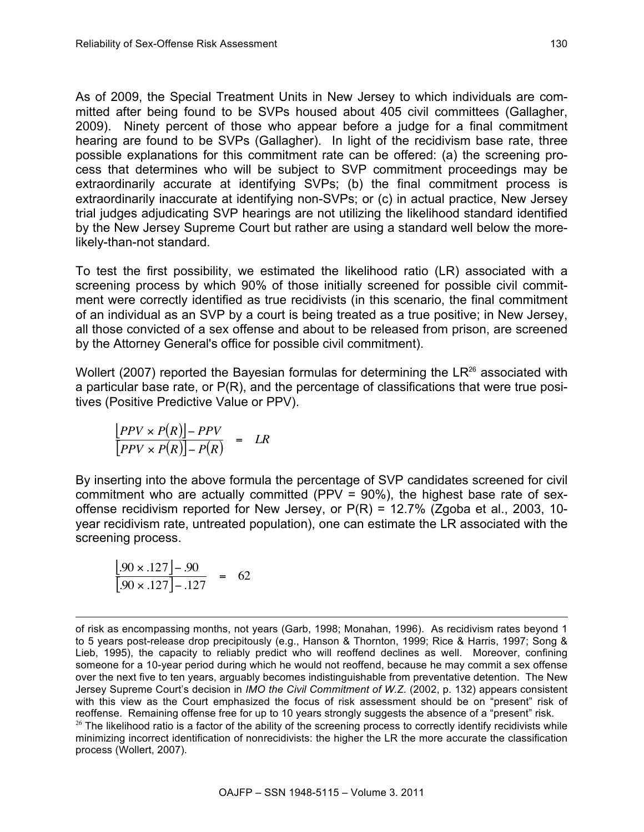As of 2009, the Special Treatment Units in New Jersey to which individuals are committed after being found to be SVPs housed about 405 civil committees (Gallagher, 2009). Ninety percent of those who appear before a judge for a final commitment hearing are found to be SVPs (Gallagher). In light of the recidivism base rate, three possible explanations for this commitment rate can be offered: (a) the screening process that determines who will be subject to SVP commitment proceedings may be extraordinarily accurate at identifying SVPs; (b) the final commitment process is extraordinarily inaccurate at identifying non-SVPs; or (c) in actual practice, New Jersey trial judges adjudicating SVP hearings are not utilizing the likelihood standard identified by the New Jersey Supreme Court but rather are using a standard well below the morelikely-than-not standard.

To test the first possibility, we estimated the likelihood ratio (LR) associated with a screening process by which 90% of those initially screened for possible civil commitment were correctly identified as true recidivists (in this scenario, the final commitment of an individual as an SVP by a court is being treated as a true positive; in New Jersey, all those convicted of a sex offense and about to be released from prison, are screened by the Attorney General's office for possible civil commitment).

Wollert (2007) reported the Bayesian formulas for determining the  $LR^{26}$  associated with a particular base rate, or P(R), and the percentage of classifications that were true positives (Positive Predictive Value or PPV).

$$
\frac{[PPV \times P(R)] - PPV}{[PPV \times P(R)] - P(R)} = LR
$$

By inserting into the above formula the percentage of SVP candidates screened for civil commitment who are actually committed (PPV = 90%), the highest base rate of sexoffense recidivism reported for New Jersey, or  $P(R) = 12.7\%$  (Zgoba et al., 2003, 10year recidivism rate, untreated population), one can estimate the LR associated with the screening process.

 $\frac{[.90 \times .127] - .90}{[.90 \times .127] - .127} = 62$ 

of risk as encompassing months, not years (Garb, 1998; Monahan, 1996). As recidivism rates beyond 1 to 5 years post-release drop precipitously (e.g., Hanson & Thornton, 1999; Rice & Harris, 1997; Song & Lieb, 1995), the capacity to reliably predict who will reoffend declines as well. Moreover, confining someone for a 10-year period during which he would not reoffend, because he may commit a sex offense over the next five to ten years, arguably becomes indistinguishable from preventative detention. The New Jersey Supreme Court's decision in *IMO the Civil Commitment of W.Z.* (2002, p. 132) appears consistent with this view as the Court emphasized the focus of risk assessment should be on "present" risk of reoffense. Remaining offense free for up to 10 years strongly suggests the absence of a "present" risk.  $26$  The likelihood ratio is a factor of the ability of the screening process to correctly identify recidivists while minimizing incorrect identification of nonrecidivists: the higher the LR the more accurate the classification process (Wollert, 2007).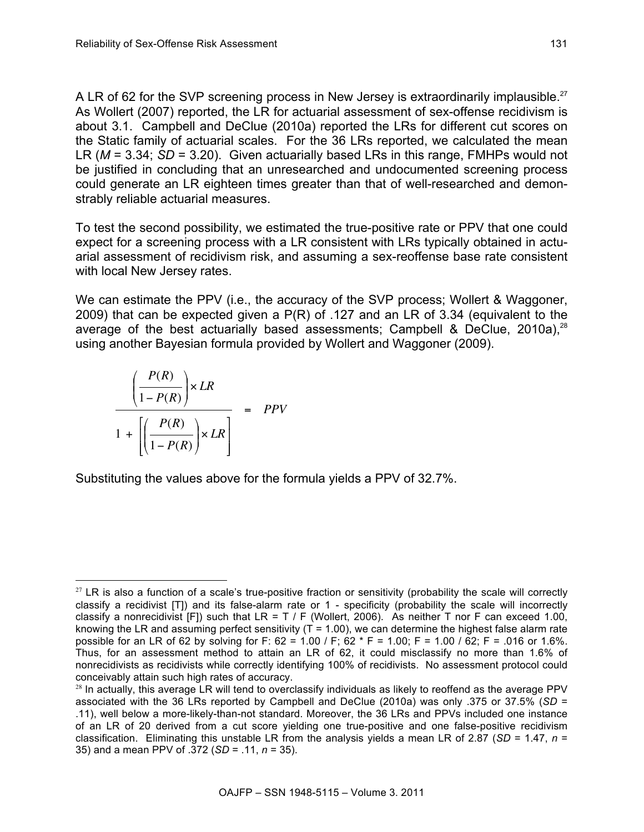A LR of 62 for the SVP screening process in New Jersey is extraordinarily implausible.<sup>27</sup> As Wollert (2007) reported, the LR for actuarial assessment of sex-offense recidivism is about 3.1. Campbell and DeClue (2010a) reported the LRs for different cut scores on the Static family of actuarial scales. For the 36 LRs reported, we calculated the mean LR (*M* = 3.34; *SD* = 3.20). Given actuarially based LRs in this range, FMHPs would not be justified in concluding that an unresearched and undocumented screening process could generate an LR eighteen times greater than that of well-researched and demonstrably reliable actuarial measures.

To test the second possibility, we estimated the true-positive rate or PPV that one could expect for a screening process with a LR consistent with LRs typically obtained in actuarial assessment of recidivism risk, and assuming a sex-reoffense base rate consistent with local New Jersey rates.

We can estimate the PPV (i.e., the accuracy of the SVP process; Wollert & Waggoner, 2009) that can be expected given a P(R) of .127 and an LR of 3.34 (equivalent to the average of the best actuarially based assessments; Campbell & DeClue, 2010a),<sup>28</sup> using another Bayesian formula provided by Wollert and Waggoner (2009).

$$
\frac{\left(\frac{P(R)}{1 - P(R)}\right) \times LR}{1 + \left[\left(\frac{P(R)}{1 - P(R)}\right) \times LR\right]} = PPV
$$

Substituting the values above for the formula yields a PPV of 32.7%.

l  $27$  LR is also a function of a scale's true-positive fraction or sensitivity (probability the scale will correctly classify a recidivist [T]) and its false-alarm rate or 1 - specificity (probability the scale will incorrectly classify a nonrecidivist [F]) such that LR = T / F (Wollert, 2006). As neither T nor F can exceed 1.00, knowing the LR and assuming perfect sensitivity  $(T = 1.00)$ , we can determine the highest false alarm rate possible for an LR of 62 by solving for F: 62 = 1.00 / F; 62 \* F = 1.00; F = 1.00 / 62; F = .016 or 1.6%. Thus, for an assessment method to attain an LR of 62, it could misclassify no more than 1.6% of nonrecidivists as recidivists while correctly identifying 100% of recidivists. No assessment protocol could conceivably attain such high rates of accuracy.

 $28$  In actually, this average LR will tend to overclassify individuals as likely to reoffend as the average PPV associated with the 36 LRs reported by Campbell and DeClue (2010a) was only .375 or 37.5% (*SD* = .11), well below a more-likely-than-not standard. Moreover, the 36 LRs and PPVs included one instance of an LR of 20 derived from a cut score yielding one true-positive and one false-positive recidivism classification. Eliminating this unstable LR from the analysis yields a mean LR of 2.87 (*SD* = 1.47, *n* = 35) and a mean PPV of .372 (*SD* = .11, *n* = 35).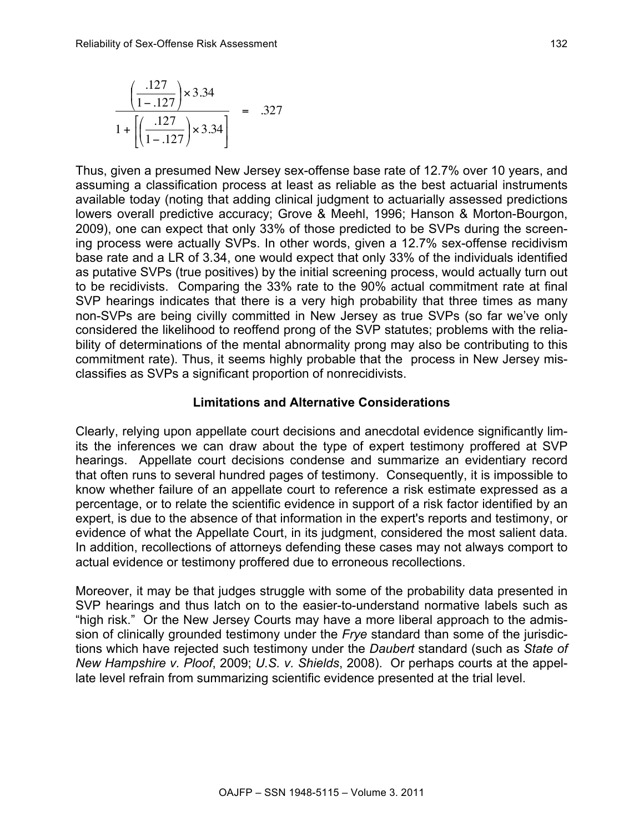$$
\frac{\left(\frac{.127}{1-.127}\right) \times 3.34}{1 + \left[\left(\frac{.127}{1-.127}\right) \times 3.34\right]} = .327
$$

Thus, given a presumed New Jersey sex-offense base rate of 12.7% over 10 years, and assuming a classification process at least as reliable as the best actuarial instruments available today (noting that adding clinical judgment to actuarially assessed predictions lowers overall predictive accuracy; Grove & Meehl, 1996; Hanson & Morton-Bourgon, 2009), one can expect that only 33% of those predicted to be SVPs during the screening process were actually SVPs. In other words, given a 12.7% sex-offense recidivism base rate and a LR of 3.34, one would expect that only 33% of the individuals identified as putative SVPs (true positives) by the initial screening process, would actually turn out to be recidivists. Comparing the 33% rate to the 90% actual commitment rate at final SVP hearings indicates that there is a very high probability that three times as many non-SVPs are being civilly committed in New Jersey as true SVPs (so far we've only considered the likelihood to reoffend prong of the SVP statutes; problems with the reliability of determinations of the mental abnormality prong may also be contributing to this commitment rate). Thus, it seems highly probable that the process in New Jersey misclassifies as SVPs a significant proportion of nonrecidivists.

#### **Limitations and Alternative Considerations**

Clearly, relying upon appellate court decisions and anecdotal evidence significantly limits the inferences we can draw about the type of expert testimony proffered at SVP hearings. Appellate court decisions condense and summarize an evidentiary record that often runs to several hundred pages of testimony. Consequently, it is impossible to know whether failure of an appellate court to reference a risk estimate expressed as a percentage, or to relate the scientific evidence in support of a risk factor identified by an expert, is due to the absence of that information in the expert's reports and testimony, or evidence of what the Appellate Court, in its judgment, considered the most salient data. In addition, recollections of attorneys defending these cases may not always comport to actual evidence or testimony proffered due to erroneous recollections.

Moreover, it may be that judges struggle with some of the probability data presented in SVP hearings and thus latch on to the easier-to-understand normative labels such as "high risk." Or the New Jersey Courts may have a more liberal approach to the admission of clinically grounded testimony under the *Frye* standard than some of the jurisdictions which have rejected such testimony under the *Daubert* standard (such as *State of New Hampshire v. Ploof*, 2009; *U.S. v. Shields*, 2008). Or perhaps courts at the appellate level refrain from summarizing scientific evidence presented at the trial level.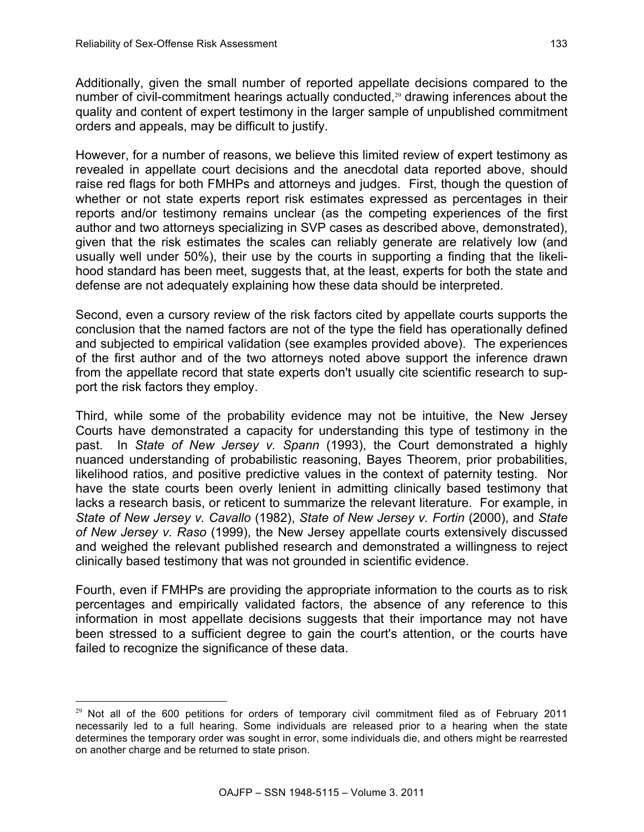l

Additionally, given the small number of reported appellate decisions compared to the number of civil-commitment hearings actually conducted, $29$  drawing inferences about the quality and content of expert testimony in the larger sample of unpublished commitment orders and appeals, may be difficult to justify.

However, for a number of reasons, we believe this limited review of expert testimony as revealed in appellate court decisions and the anecdotal data reported above, should raise red flags for both FMHPs and attorneys and judges. First, though the question of whether or not state experts report risk estimates expressed as percentages in their reports and/or testimony remains unclear (as the competing experiences of the first author and two attorneys specializing in SVP cases as described above, demonstrated), given that the risk estimates the scales can reliably generate are relatively low (and usually well under 50%), their use by the courts in supporting a finding that the likelihood standard has been meet, suggests that, at the least, experts for both the state and defense are not adequately explaining how these data should be interpreted.

Second, even a cursory review of the risk factors cited by appellate courts supports the conclusion that the named factors are not of the type the field has operationally defined and subjected to empirical validation (see examples provided above). The experiences of the first author and of the two attorneys noted above support the inference drawn from the appellate record that state experts don't usually cite scientific research to support the risk factors they employ.

Third, while some of the probability evidence may not be intuitive, the New Jersey Courts have demonstrated a capacity for understanding this type of testimony in the past. In *State of New Jersey v. Spann* (1993), the Court demonstrated a highly nuanced understanding of probabilistic reasoning, Bayes Theorem, prior probabilities, likelihood ratios, and positive predictive values in the context of paternity testing. Nor have the state courts been overly lenient in admitting clinically based testimony that lacks a research basis, or reticent to summarize the relevant literature. For example, in *State of New Jersey v. Cavallo* (1982), *State of New Jersey v. Fortin* (2000), and *State of New Jersey v. Raso* (1999), the New Jersey appellate courts extensively discussed and weighed the relevant published research and demonstrated a willingness to reject clinically based testimony that was not grounded in scientific evidence.

Fourth, even if FMHPs are providing the appropriate information to the courts as to risk percentages and empirically validated factors, the absence of any reference to this information in most appellate decisions suggests that their importance may not have been stressed to a sufficient degree to gain the court's attention, or the courts have failed to recognize the significance of these data.

<sup>&</sup>lt;sup>29</sup> Not all of the 600 petitions for orders of temporary civil commitment filed as of February 2011 necessarily led to a full hearing. Some individuals are released prior to a hearing when the state determines the temporary order was sought in error, some individuals die, and others might be rearrested on another charge and be returned to state prison.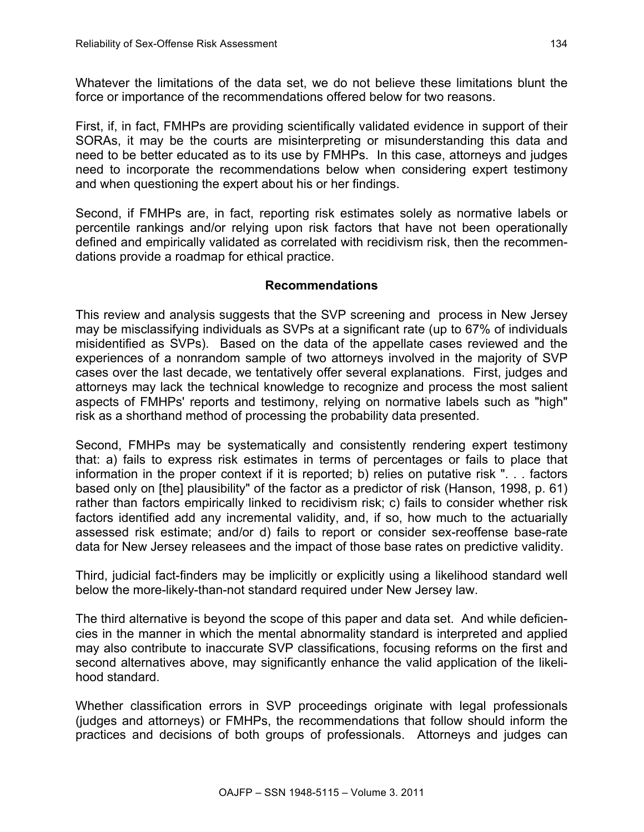Whatever the limitations of the data set, we do not believe these limitations blunt the force or importance of the recommendations offered below for two reasons.

First, if, in fact, FMHPs are providing scientifically validated evidence in support of their SORAs, it may be the courts are misinterpreting or misunderstanding this data and need to be better educated as to its use by FMHPs. In this case, attorneys and judges need to incorporate the recommendations below when considering expert testimony and when questioning the expert about his or her findings.

Second, if FMHPs are, in fact, reporting risk estimates solely as normative labels or percentile rankings and/or relying upon risk factors that have not been operationally defined and empirically validated as correlated with recidivism risk, then the recommendations provide a roadmap for ethical practice.

# **Recommendations**

This review and analysis suggests that the SVP screening and process in New Jersey may be misclassifying individuals as SVPs at a significant rate (up to 67% of individuals misidentified as SVPs). Based on the data of the appellate cases reviewed and the experiences of a nonrandom sample of two attorneys involved in the majority of SVP cases over the last decade, we tentatively offer several explanations. First, judges and attorneys may lack the technical knowledge to recognize and process the most salient aspects of FMHPs' reports and testimony, relying on normative labels such as "high" risk as a shorthand method of processing the probability data presented.

Second, FMHPs may be systematically and consistently rendering expert testimony that: a) fails to express risk estimates in terms of percentages or fails to place that information in the proper context if it is reported; b) relies on putative risk ". . . factors based only on [the] plausibility" of the factor as a predictor of risk (Hanson, 1998, p. 61) rather than factors empirically linked to recidivism risk; c) fails to consider whether risk factors identified add any incremental validity, and, if so, how much to the actuarially assessed risk estimate; and/or d) fails to report or consider sex-reoffense base-rate data for New Jersey releasees and the impact of those base rates on predictive validity.

Third, judicial fact-finders may be implicitly or explicitly using a likelihood standard well below the more-likely-than-not standard required under New Jersey law.

The third alternative is beyond the scope of this paper and data set. And while deficiencies in the manner in which the mental abnormality standard is interpreted and applied may also contribute to inaccurate SVP classifications, focusing reforms on the first and second alternatives above, may significantly enhance the valid application of the likelihood standard.

Whether classification errors in SVP proceedings originate with legal professionals (judges and attorneys) or FMHPs, the recommendations that follow should inform the practices and decisions of both groups of professionals. Attorneys and judges can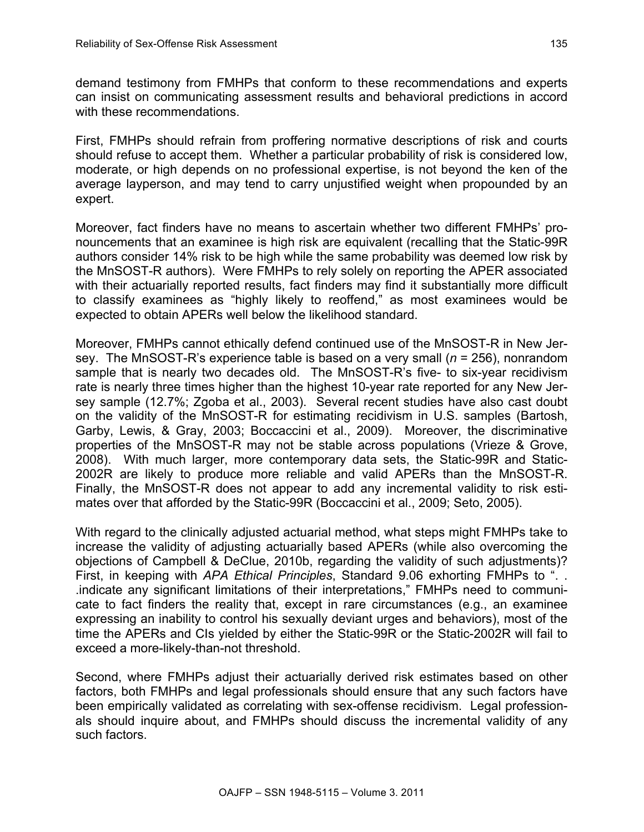demand testimony from FMHPs that conform to these recommendations and experts can insist on communicating assessment results and behavioral predictions in accord with these recommendations.

First, FMHPs should refrain from proffering normative descriptions of risk and courts should refuse to accept them. Whether a particular probability of risk is considered low, moderate, or high depends on no professional expertise, is not beyond the ken of the average layperson, and may tend to carry unjustified weight when propounded by an expert.

Moreover, fact finders have no means to ascertain whether two different FMHPs' pronouncements that an examinee is high risk are equivalent (recalling that the Static-99R authors consider 14% risk to be high while the same probability was deemed low risk by the MnSOST-R authors). Were FMHPs to rely solely on reporting the APER associated with their actuarially reported results, fact finders may find it substantially more difficult to classify examinees as "highly likely to reoffend," as most examinees would be expected to obtain APERs well below the likelihood standard.

Moreover, FMHPs cannot ethically defend continued use of the MnSOST-R in New Jersey. The MnSOST-R's experience table is based on a very small (*n* = 256), nonrandom sample that is nearly two decades old. The MnSOST-R's five- to six-year recidivism rate is nearly three times higher than the highest 10-year rate reported for any New Jersey sample (12.7%; Zgoba et al., 2003). Several recent studies have also cast doubt on the validity of the MnSOST-R for estimating recidivism in U.S. samples (Bartosh, Garby, Lewis, & Gray, 2003; Boccaccini et al., 2009). Moreover, the discriminative properties of the MnSOST-R may not be stable across populations (Vrieze & Grove, 2008). With much larger, more contemporary data sets, the Static-99R and Static-2002R are likely to produce more reliable and valid APERs than the MnSOST-R. Finally, the MnSOST-R does not appear to add any incremental validity to risk estimates over that afforded by the Static-99R (Boccaccini et al., 2009; Seto, 2005).

With regard to the clinically adjusted actuarial method, what steps might FMHPs take to increase the validity of adjusting actuarially based APERs (while also overcoming the objections of Campbell & DeClue, 2010b, regarding the validity of such adjustments)? First, in keeping with *APA Ethical Principles*, Standard 9.06 exhorting FMHPs to ". . .indicate any significant limitations of their interpretations," FMHPs need to communicate to fact finders the reality that, except in rare circumstances (e.g., an examinee expressing an inability to control his sexually deviant urges and behaviors), most of the time the APERs and CIs yielded by either the Static-99R or the Static-2002R will fail to exceed a more-likely-than-not threshold.

Second, where FMHPs adjust their actuarially derived risk estimates based on other factors, both FMHPs and legal professionals should ensure that any such factors have been empirically validated as correlating with sex-offense recidivism. Legal professionals should inquire about, and FMHPs should discuss the incremental validity of any such factors.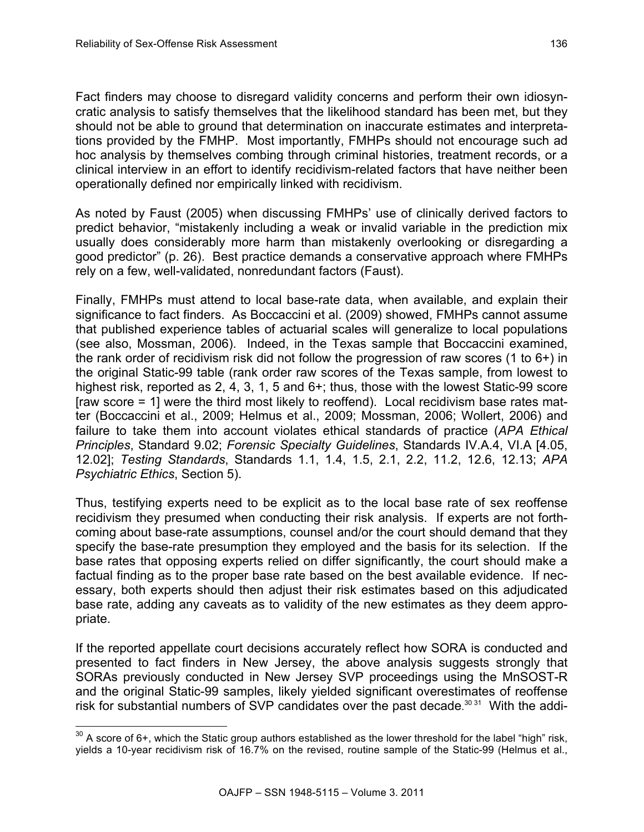Fact finders may choose to disregard validity concerns and perform their own idiosyncratic analysis to satisfy themselves that the likelihood standard has been met, but they should not be able to ground that determination on inaccurate estimates and interpretations provided by the FMHP. Most importantly, FMHPs should not encourage such ad hoc analysis by themselves combing through criminal histories, treatment records, or a clinical interview in an effort to identify recidivism-related factors that have neither been operationally defined nor empirically linked with recidivism.

As noted by Faust (2005) when discussing FMHPs' use of clinically derived factors to predict behavior, "mistakenly including a weak or invalid variable in the prediction mix usually does considerably more harm than mistakenly overlooking or disregarding a good predictor" (p. 26). Best practice demands a conservative approach where FMHPs rely on a few, well-validated, nonredundant factors (Faust).

Finally, FMHPs must attend to local base-rate data, when available, and explain their significance to fact finders. As Boccaccini et al. (2009) showed, FMHPs cannot assume that published experience tables of actuarial scales will generalize to local populations (see also, Mossman, 2006). Indeed, in the Texas sample that Boccaccini examined, the rank order of recidivism risk did not follow the progression of raw scores (1 to 6+) in the original Static-99 table (rank order raw scores of the Texas sample, from lowest to highest risk, reported as 2, 4, 3, 1, 5 and 6+; thus, those with the lowest Static-99 score [raw score = 1] were the third most likely to reoffend). Local recidivism base rates matter (Boccaccini et al., 2009; Helmus et al., 2009; Mossman, 2006; Wollert, 2006) and failure to take them into account violates ethical standards of practice (*APA Ethical Principles*, Standard 9.02; *Forensic Specialty Guidelines*, Standards IV.A.4, VI.A [4.05, 12.02]; *Testing Standards*, Standards 1.1, 1.4, 1.5, 2.1, 2.2, 11.2, 12.6, 12.13; *APA Psychiatric Ethics*, Section 5).

Thus, testifying experts need to be explicit as to the local base rate of sex reoffense recidivism they presumed when conducting their risk analysis. If experts are not forthcoming about base-rate assumptions, counsel and/or the court should demand that they specify the base-rate presumption they employed and the basis for its selection. If the base rates that opposing experts relied on differ significantly, the court should make a factual finding as to the proper base rate based on the best available evidence. If necessary, both experts should then adjust their risk estimates based on this adjudicated base rate, adding any caveats as to validity of the new estimates as they deem appropriate.

If the reported appellate court decisions accurately reflect how SORA is conducted and presented to fact finders in New Jersey, the above analysis suggests strongly that SORAs previously conducted in New Jersey SVP proceedings using the MnSOST-R and the original Static-99 samples, likely yielded significant overestimates of reoffense risk for substantial numbers of SVP candidates over the past decade.<sup>30 31</sup> With the addi-

 $30$  A score of 6+, which the Static group authors established as the lower threshold for the label "high" risk, yields a 10-year recidivism risk of 16.7% on the revised, routine sample of the Static-99 (Helmus et al.,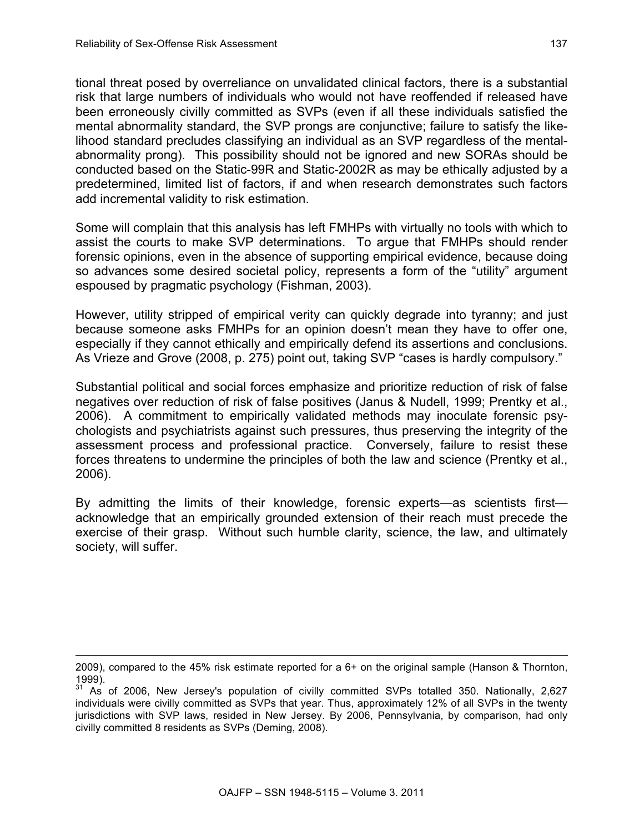1

tional threat posed by overreliance on unvalidated clinical factors, there is a substantial risk that large numbers of individuals who would not have reoffended if released have been erroneously civilly committed as SVPs (even if all these individuals satisfied the mental abnormality standard, the SVP prongs are conjunctive; failure to satisfy the likelihood standard precludes classifying an individual as an SVP regardless of the mentalabnormality prong). This possibility should not be ignored and new SORAs should be conducted based on the Static-99R and Static-2002R as may be ethically adjusted by a predetermined, limited list of factors, if and when research demonstrates such factors add incremental validity to risk estimation.

Some will complain that this analysis has left FMHPs with virtually no tools with which to assist the courts to make SVP determinations. To argue that FMHPs should render forensic opinions, even in the absence of supporting empirical evidence, because doing so advances some desired societal policy, represents a form of the "utility" argument espoused by pragmatic psychology (Fishman, 2003).

However, utility stripped of empirical verity can quickly degrade into tyranny; and just because someone asks FMHPs for an opinion doesn't mean they have to offer one, especially if they cannot ethically and empirically defend its assertions and conclusions. As Vrieze and Grove (2008, p. 275) point out, taking SVP "cases is hardly compulsory."

Substantial political and social forces emphasize and prioritize reduction of risk of false negatives over reduction of risk of false positives (Janus & Nudell, 1999; Prentky et al., 2006). A commitment to empirically validated methods may inoculate forensic psychologists and psychiatrists against such pressures, thus preserving the integrity of the assessment process and professional practice. Conversely, failure to resist these forces threatens to undermine the principles of both the law and science (Prentky et al., 2006).

By admitting the limits of their knowledge, forensic experts—as scientists first acknowledge that an empirically grounded extension of their reach must precede the exercise of their grasp. Without such humble clarity, science, the law, and ultimately society, will suffer.

<sup>2009),</sup> compared to the 45% risk estimate reported for a 6+ on the original sample (Hanson & Thornton, 1999).

<sup>&</sup>lt;sup>31</sup> As of 2006, New Jersey's population of civilly committed SVPs totalled 350. Nationally, 2,627 individuals were civilly committed as SVPs that year. Thus, approximately 12% of all SVPs in the twenty jurisdictions with SVP laws, resided in New Jersey. By 2006, Pennsylvania, by comparison, had only civilly committed 8 residents as SVPs (Deming, 2008).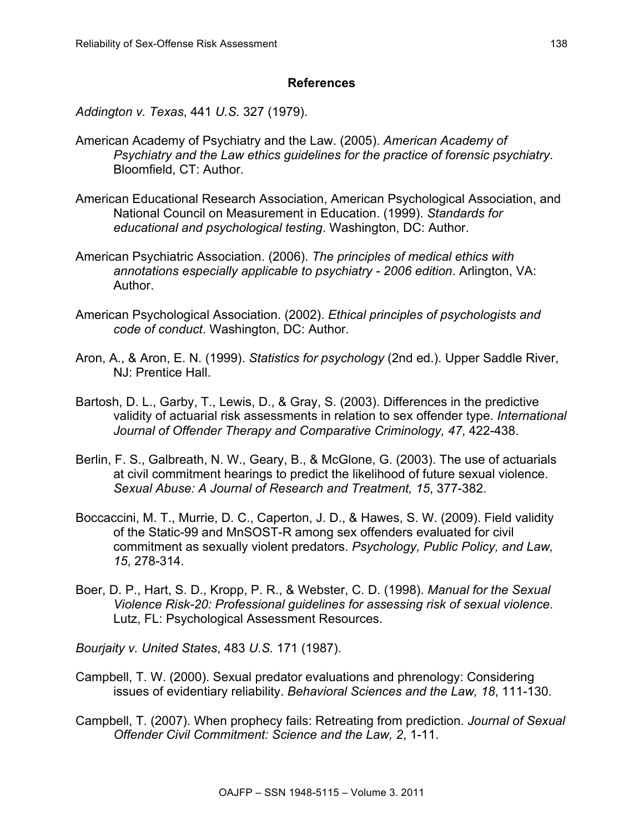# **References**

*Addington v. Texas*, 441 *U.S.* 327 (1979).

- American Academy of Psychiatry and the Law. (2005). *American Academy of Psychiatry and the Law ethics guidelines for the practice of forensic psychiatry*. Bloomfield, CT: Author.
- American Educational Research Association, American Psychological Association, and National Council on Measurement in Education. (1999). *Standards for educational and psychological testing*. Washington, DC: Author.
- American Psychiatric Association. (2006). *The principles of medical ethics with annotations especially applicable to psychiatry - 2006 edition*. Arlington, VA: Author.
- American Psychological Association. (2002). *Ethical principles of psychologists and code of conduct*. Washington, DC: Author.
- Aron, A., & Aron, E. N. (1999). *Statistics for psychology* (2nd ed.). Upper Saddle River, NJ: Prentice Hall.
- Bartosh, D. L., Garby, T., Lewis, D., & Gray, S. (2003). Differences in the predictive validity of actuarial risk assessments in relation to sex offender type. *International Journal of Offender Therapy and Comparative Criminology, 47*, 422-438.
- Berlin, F. S., Galbreath, N. W., Geary, B., & McGlone, G. (2003). The use of actuarials at civil commitment hearings to predict the likelihood of future sexual violence. *Sexual Abuse: A Journal of Research and Treatment, 15*, 377-382.
- Boccaccini, M. T., Murrie, D. C., Caperton, J. D., & Hawes, S. W. (2009). Field validity of the Static-99 and MnSOST-R among sex offenders evaluated for civil commitment as sexually violent predators. *Psychology, Public Policy, and Law, 15*, 278-314.
- Boer, D. P., Hart, S. D., Kropp, P. R., & Webster, C. D. (1998). *Manual for the Sexual Violence Risk-20: Professional guidelines for assessing risk of sexual violence*. Lutz, FL: Psychological Assessment Resources.

*Bourjaity v. United States*, 483 *U.S.* 171 (1987).

- Campbell, T. W. (2000). Sexual predator evaluations and phrenology: Considering issues of evidentiary reliability. *Behavioral Sciences and the Law, 18*, 111-130.
- Campbell, T. (2007). When prophecy fails: Retreating from prediction. *Journal of Sexual Offender Civil Commitment: Science and the Law, 2*, 1-11.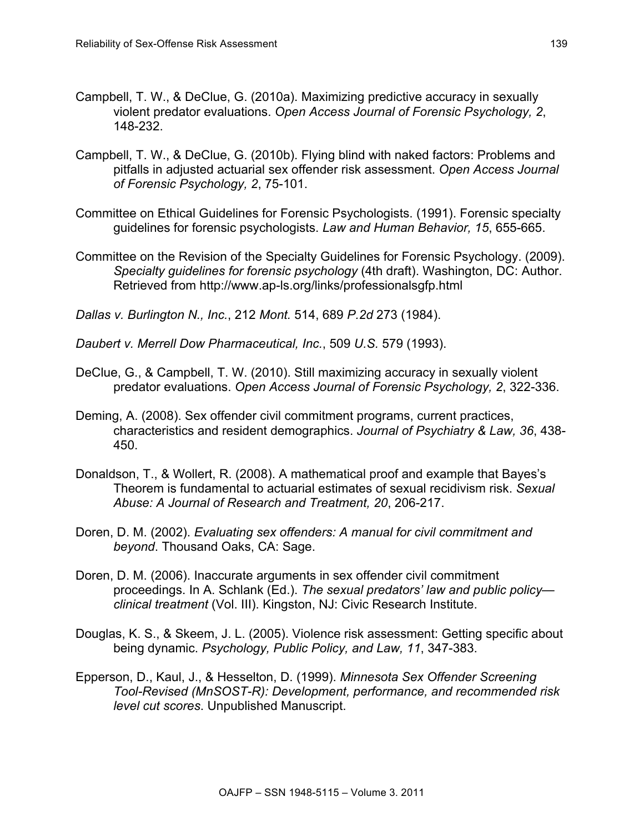- Campbell, T. W., & DeClue, G. (2010a). Maximizing predictive accuracy in sexually violent predator evaluations. *Open Access Journal of Forensic Psychology, 2*, 148-232.
- Campbell, T. W., & DeClue, G. (2010b). Flying blind with naked factors: Problems and pitfalls in adjusted actuarial sex offender risk assessment. *Open Access Journal of Forensic Psychology, 2*, 75-101.
- Committee on Ethical Guidelines for Forensic Psychologists. (1991). Forensic specialty guidelines for forensic psychologists. *Law and Human Behavior, 15*, 655-665.
- Committee on the Revision of the Specialty Guidelines for Forensic Psychology. (2009). *Specialty guidelines for forensic psychology* (4th draft). Washington, DC: Author. Retrieved from http://www.ap-ls.org/links/professionalsgfp.html
- *Dallas v. Burlington N., Inc.*, 212 *Mont.* 514, 689 *P.2d* 273 (1984).

*Daubert v. Merrell Dow Pharmaceutical, Inc.*, 509 *U.S.* 579 (1993).

- DeClue, G., & Campbell, T. W. (2010). Still maximizing accuracy in sexually violent predator evaluations. *Open Access Journal of Forensic Psychology, 2*, 322-336.
- Deming, A. (2008). Sex offender civil commitment programs, current practices, characteristics and resident demographics. *Journal of Psychiatry & Law, 36*, 438- 450.
- Donaldson, T., & Wollert, R. (2008). A mathematical proof and example that Bayes's Theorem is fundamental to actuarial estimates of sexual recidivism risk. *Sexual Abuse: A Journal of Research and Treatment, 20*, 206-217.
- Doren, D. M. (2002). *Evaluating sex offenders: A manual for civil commitment and beyond*. Thousand Oaks, CA: Sage.
- Doren, D. M. (2006). Inaccurate arguments in sex offender civil commitment proceedings. In A. Schlank (Ed.). *The sexual predators' law and public policy clinical treatment* (Vol. III). Kingston, NJ: Civic Research Institute.
- Douglas, K. S., & Skeem, J. L. (2005). Violence risk assessment: Getting specific about being dynamic. *Psychology, Public Policy, and Law, 11*, 347-383.
- Epperson, D., Kaul, J., & Hesselton, D. (1999). *Minnesota Sex Offender Screening Tool-Revised (MnSOST-R): Development, performance, and recommended risk level cut scores*. Unpublished Manuscript.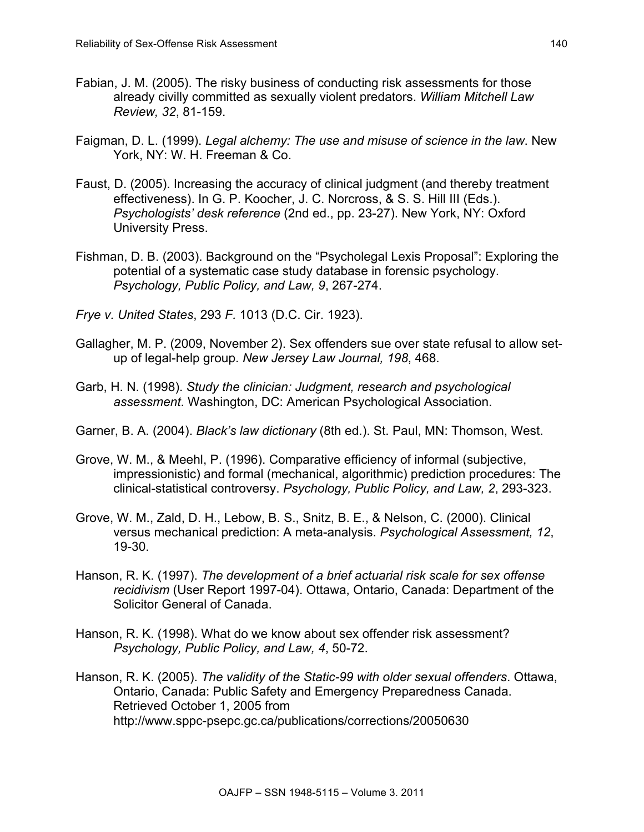- Fabian, J. M. (2005). The risky business of conducting risk assessments for those already civilly committed as sexually violent predators. *William Mitchell Law Review, 32*, 81-159.
- Faigman, D. L. (1999). *Legal alchemy: The use and misuse of science in the law*. New York, NY: W. H. Freeman & Co.
- Faust, D. (2005). Increasing the accuracy of clinical judgment (and thereby treatment effectiveness). In G. P. Koocher, J. C. Norcross, & S. S. Hill III (Eds.). *Psychologists' desk reference* (2nd ed., pp. 23-27). New York, NY: Oxford University Press.
- Fishman, D. B. (2003). Background on the "Psycholegal Lexis Proposal": Exploring the potential of a systematic case study database in forensic psychology. *Psychology, Public Policy, and Law, 9*, 267-274.
- *Frye v. United States*, 293 *F.* 1013 (D.C. Cir. 1923).
- Gallagher, M. P. (2009, November 2). Sex offenders sue over state refusal to allow setup of legal-help group. *New Jersey Law Journal, 198*, 468.
- Garb, H. N. (1998). *Study the clinician: Judgment, research and psychological assessment*. Washington, DC: American Psychological Association.
- Garner, B. A. (2004). *Black's law dictionary* (8th ed.). St. Paul, MN: Thomson, West.
- Grove, W. M., & Meehl, P. (1996). Comparative efficiency of informal (subjective, impressionistic) and formal (mechanical, algorithmic) prediction procedures: The clinical-statistical controversy. *Psychology, Public Policy, and Law, 2*, 293-323.
- Grove, W. M., Zald, D. H., Lebow, B. S., Snitz, B. E., & Nelson, C. (2000). Clinical versus mechanical prediction: A meta-analysis. *Psychological Assessment, 12*, 19-30.
- Hanson, R. K. (1997). *The development of a brief actuarial risk scale for sex offense recidivism* (User Report 1997-04). Ottawa, Ontario, Canada: Department of the Solicitor General of Canada.
- Hanson, R. K. (1998). What do we know about sex offender risk assessment? *Psychology, Public Policy, and Law, 4*, 50-72.
- Hanson, R. K. (2005). *The validity of the Static-99 with older sexual offenders*. Ottawa, Ontario, Canada: Public Safety and Emergency Preparedness Canada. Retrieved October 1, 2005 from http://www.sppc-psepc.gc.ca/publications/corrections/20050630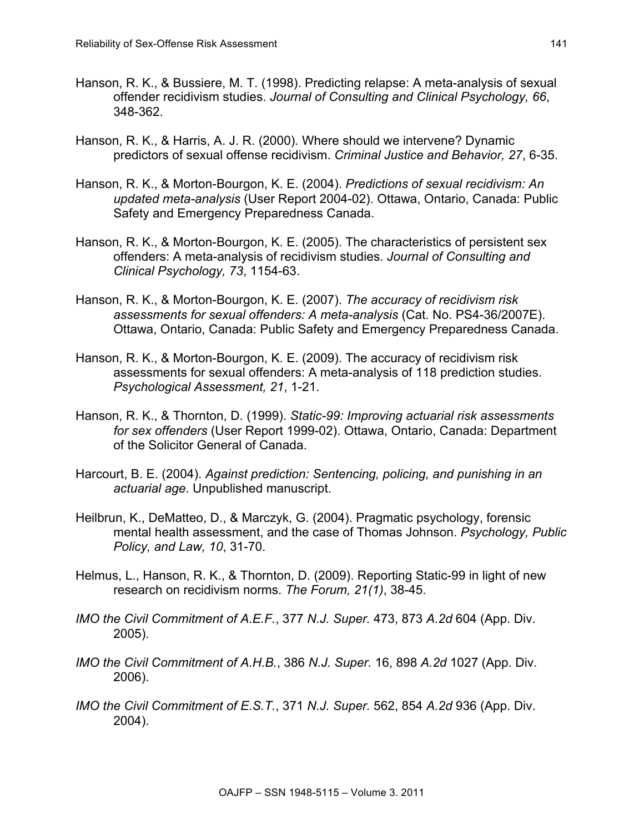- Hanson, R. K., & Bussiere, M. T. (1998). Predicting relapse: A meta-analysis of sexual offender recidivism studies. *Journal of Consulting and Clinical Psychology, 66*, 348-362.
- Hanson, R. K., & Harris, A. J. R. (2000). Where should we intervene? Dynamic predictors of sexual offense recidivism. *Criminal Justice and Behavior, 27*, 6-35.
- Hanson, R. K., & Morton-Bourgon, K. E. (2004). *Predictions of sexual recidivism: An updated meta-analysis* (User Report 2004-02). Ottawa, Ontario, Canada: Public Safety and Emergency Preparedness Canada.
- Hanson, R. K., & Morton-Bourgon, K. E. (2005). The characteristics of persistent sex offenders: A meta-analysis of recidivism studies. *Journal of Consulting and Clinical Psychology, 73*, 1154-63.
- Hanson, R. K., & Morton-Bourgon, K. E. (2007). *The accuracy of recidivism risk assessments for sexual offenders: A meta-analysis* (Cat. No. PS4-36/2007E). Ottawa, Ontario, Canada: Public Safety and Emergency Preparedness Canada.
- Hanson, R. K., & Morton-Bourgon, K. E. (2009). The accuracy of recidivism risk assessments for sexual offenders: A meta-analysis of 118 prediction studies. *Psychological Assessment, 21*, 1-21.
- Hanson, R. K., & Thornton, D. (1999). *Static-99: Improving actuarial risk assessments for sex offenders* (User Report 1999-02). Ottawa, Ontario, Canada: Department of the Solicitor General of Canada.
- Harcourt, B. E. (2004). *Against prediction: Sentencing, policing, and punishing in an actuarial age*. Unpublished manuscript.
- Heilbrun, K., DeMatteo, D., & Marczyk, G. (2004). Pragmatic psychology, forensic mental health assessment, and the case of Thomas Johnson. *Psychology, Public Policy, and Law, 10*, 31-70.
- Helmus, L., Hanson, R. K., & Thornton, D. (2009). Reporting Static-99 in light of new research on recidivism norms. *The Forum, 21(1)*, 38-45.
- *IMO the Civil Commitment of A.E.F.*, 377 *N.J. Super.* 473, 873 *A.2d* 604 (App. Div. 2005).
- *IMO the Civil Commitment of A.H.B.*, 386 *N.J. Super.* 16, 898 *A.2d* 1027 (App. Div. 2006).
- *IMO the Civil Commitment of E.S.T.*, 371 *N.J. Super.* 562, 854 *A.2d* 936 (App. Div. 2004).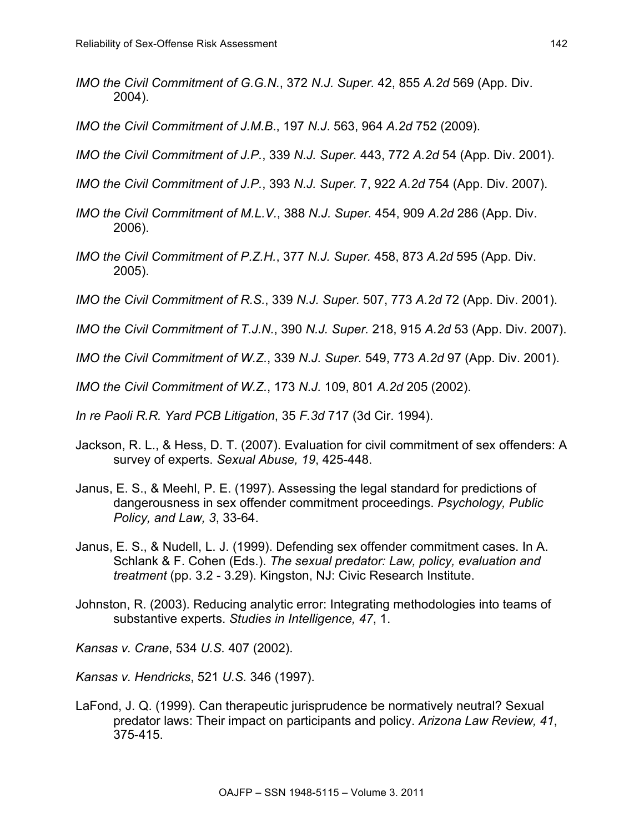- *IMO the Civil Commitment of G.G.N.*, 372 *N.J. Super.* 42, 855 *A.2d* 569 (App. Div. 2004).
- *IMO the Civil Commitment of J.M.B*., 197 *N.J*. 563, 964 *A.2d* 752 (2009).
- *IMO the Civil Commitment of J.P.*, 339 *N.J. Super.* 443, 772 *A.2d* 54 (App. Div. 2001).
- *IMO the Civil Commitment of J.P.*, 393 *N.J. Super.* 7, 922 *A.2d* 754 (App. Div. 2007).
- *IMO the Civil Commitment of M.L.V.*, 388 *N.J. Super.* 454, 909 *A.2d* 286 (App. Div. 2006).
- *IMO the Civil Commitment of P.Z.H.*, 377 *N.J. Super.* 458, 873 *A.2d* 595 (App. Div. 2005).
- *IMO the Civil Commitment of R.S.*, 339 *N.J. Super.* 507, 773 *A.2d* 72 (App. Div. 2001).
- *IMO the Civil Commitment of T.J.N.*, 390 *N.J. Super.* 218, 915 *A.2d* 53 (App. Div. 2007).
- *IMO the Civil Commitment of W.Z.*, 339 *N.J. Super.* 549, 773 *A.2d* 97 (App. Div. 2001).
- *IMO the Civil Commitment of W.Z.*, 173 *N.J.* 109, 801 *A.2d* 205 (2002).
- *In re Paoli R.R. Yard PCB Litigation*, 35 *F.3d* 717 (3d Cir. 1994).
- Jackson, R. L., & Hess, D. T. (2007). Evaluation for civil commitment of sex offenders: A survey of experts. *Sexual Abuse, 19*, 425-448.
- Janus, E. S., & Meehl, P. E. (1997). Assessing the legal standard for predictions of dangerousness in sex offender commitment proceedings. *Psychology, Public Policy, and Law, 3*, 33-64.
- Janus, E. S., & Nudell, L. J. (1999). Defending sex offender commitment cases. In A. Schlank & F. Cohen (Eds.). *The sexual predator: Law, policy, evaluation and treatment* (pp. 3.2 - 3.29). Kingston, NJ: Civic Research Institute.
- Johnston, R. (2003). Reducing analytic error: Integrating methodologies into teams of substantive experts. *Studies in Intelligence, 47*, 1.

*Kansas v. Crane*, 534 *U.S.* 407 (2002).

*Kansas v. Hendricks*, 521 *U.S.* 346 (1997).

LaFond, J. Q. (1999). Can therapeutic jurisprudence be normatively neutral? Sexual predator laws: Their impact on participants and policy. *Arizona Law Review, 41*, 375-415.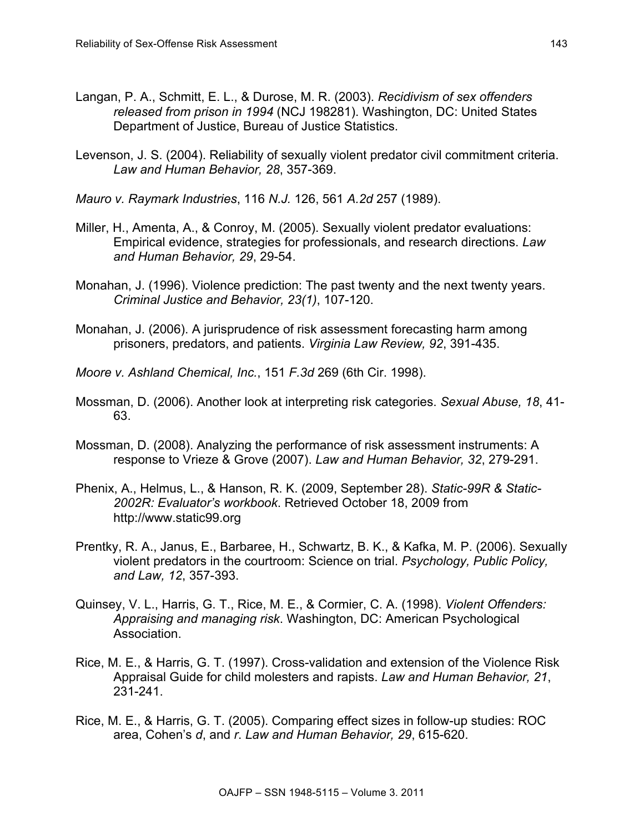- Langan, P. A., Schmitt, E. L., & Durose, M. R. (2003). *Recidivism of sex offenders released from prison in 1994* (NCJ 198281). Washington, DC: United States Department of Justice, Bureau of Justice Statistics.
- Levenson, J. S. (2004). Reliability of sexually violent predator civil commitment criteria. *Law and Human Behavior, 28*, 357-369.
- *Mauro v. Raymark Industries*, 116 *N.J.* 126, 561 *A.2d* 257 (1989).
- Miller, H., Amenta, A., & Conroy, M. (2005). Sexually violent predator evaluations: Empirical evidence, strategies for professionals, and research directions. *Law and Human Behavior, 29*, 29-54.
- Monahan, J. (1996). Violence prediction: The past twenty and the next twenty years. *Criminal Justice and Behavior, 23(1)*, 107-120.
- Monahan, J. (2006). A jurisprudence of risk assessment forecasting harm among prisoners, predators, and patients. *Virginia Law Review, 92*, 391-435.
- *Moore v. Ashland Chemical, Inc.*, 151 *F.3d* 269 (6th Cir. 1998).
- Mossman, D. (2006). Another look at interpreting risk categories. *Sexual Abuse, 18*, 41- 63.
- Mossman, D. (2008). Analyzing the performance of risk assessment instruments: A response to Vrieze & Grove (2007). *Law and Human Behavior, 32*, 279-291.
- Phenix, A., Helmus, L., & Hanson, R. K. (2009, September 28). *Static-99R & Static-2002R: Evaluator's workbook*. Retrieved October 18, 2009 from http://www.static99.org
- Prentky, R. A., Janus, E., Barbaree, H., Schwartz, B. K., & Kafka, M. P. (2006). Sexually violent predators in the courtroom: Science on trial. *Psychology, Public Policy, and Law, 12*, 357-393.
- Quinsey, V. L., Harris, G. T., Rice, M. E., & Cormier, C. A. (1998). *Violent Offenders: Appraising and managing risk*. Washington, DC: American Psychological Association.
- Rice, M. E., & Harris, G. T. (1997). Cross-validation and extension of the Violence Risk Appraisal Guide for child molesters and rapists. *Law and Human Behavior, 21*, 231-241.
- Rice, M. E., & Harris, G. T. (2005). Comparing effect sizes in follow-up studies: ROC area, Cohen's *d*, and *r*. *Law and Human Behavior, 29*, 615-620.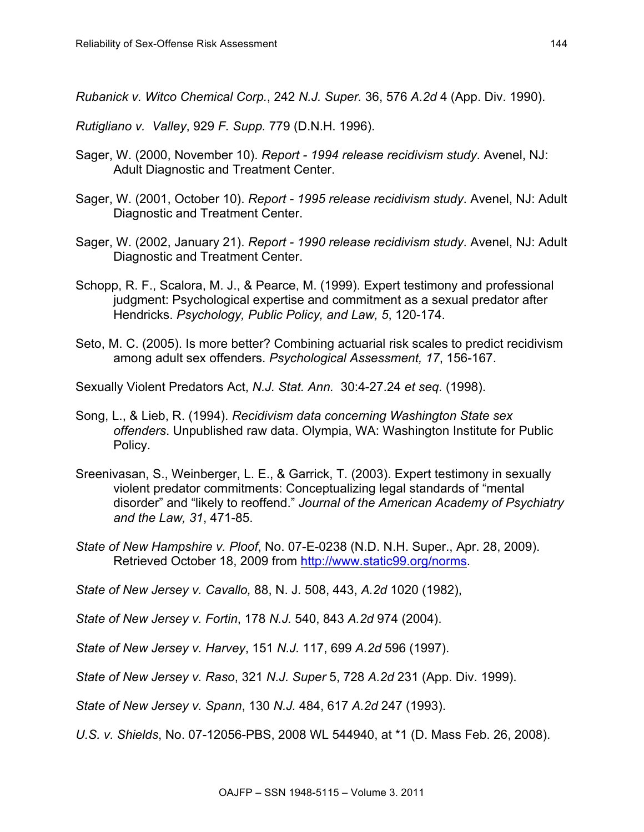*Rubanick v. Witco Chemical Corp.*, 242 *N.J. Super.* 36, 576 *A.2d* 4 (App. Div. 1990).

*Rutigliano v. Valley*, 929 *F. Supp.* 779 (D.N.H. 1996).

- Sager, W. (2000, November 10). *Report - 1994 release recidivism study*. Avenel, NJ: Adult Diagnostic and Treatment Center.
- Sager, W. (2001, October 10). *Report - 1995 release recidivism study*. Avenel, NJ: Adult Diagnostic and Treatment Center.
- Sager, W. (2002, January 21). *Report - 1990 release recidivism study*. Avenel, NJ: Adult Diagnostic and Treatment Center.
- Schopp, R. F., Scalora, M. J., & Pearce, M. (1999). Expert testimony and professional judgment: Psychological expertise and commitment as a sexual predator after Hendricks. *Psychology, Public Policy, and Law, 5*, 120-174.
- Seto, M. C. (2005). Is more better? Combining actuarial risk scales to predict recidivism among adult sex offenders. *Psychological Assessment, 17*, 156-167.
- Sexually Violent Predators Act, *N.J. Stat. Ann.* 30:4-27.24 *et seq.* (1998).
- Song, L., & Lieb, R. (1994). *Recidivism data concerning Washington State sex offenders*. Unpublished raw data. Olympia, WA: Washington Institute for Public Policy.
- Sreenivasan, S., Weinberger, L. E., & Garrick, T. (2003). Expert testimony in sexually violent predator commitments: Conceptualizing legal standards of "mental disorder" and "likely to reoffend." *Journal of the American Academy of Psychiatry and the Law, 31*, 471-85.
- *State of New Hampshire v. Ploof*, No. 07-E-0238 (N.D. N.H. Super., Apr. 28, 2009). Retrieved October 18, 2009 from http://www.static99.org/norms.

*State of New Jersey v. Cavallo,* 88, N. J*.* 508, 443, *A.2d* 1020 (1982),

*State of New Jersey v. Fortin*, 178 *N.J.* 540, 843 *A.2d* 974 (2004).

*State of New Jersey v. Harvey*, 151 *N.J.* 117, 699 *A.2d* 596 (1997).

*State of New Jersey v. Raso*, 321 *N.J. Super* 5, 728 *A.2d* 231 (App. Div. 1999).

*State of New Jersey v. Spann*, 130 *N.J.* 484, 617 *A.2d* 247 (1993).

*U.S. v. Shields*, No. 07-12056-PBS, 2008 WL 544940, at \*1 (D. Mass Feb. 26, 2008).